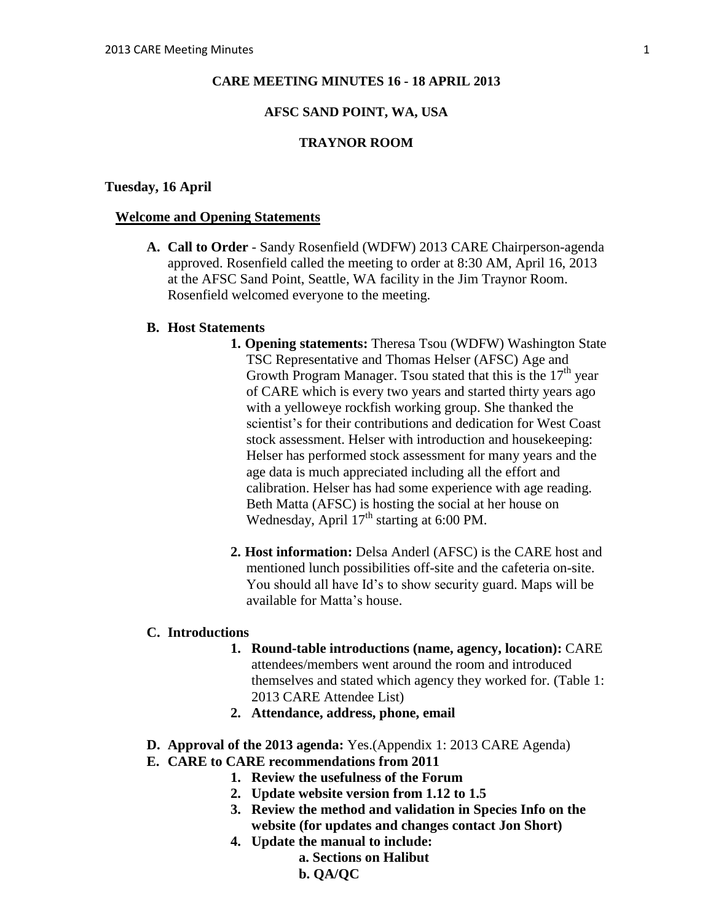#### **CARE MEETING MINUTES 16 - 18 APRIL 2013**

## **AFSC SAND POINT, WA, USA**

## **TRAYNOR ROOM**

#### **Tuesday, 16 April**

#### **Welcome and Opening Statements**

**A. Call to Order** - Sandy Rosenfield (WDFW) 2013 CARE Chairperson-agenda approved. Rosenfield called the meeting to order at 8:30 AM, April 16, 2013 at the AFSC Sand Point, Seattle, WA facility in the Jim Traynor Room. Rosenfield welcomed everyone to the meeting.

#### **B. Host Statements**

- **1. Opening statements:** Theresa Tsou (WDFW) Washington State TSC Representative and Thomas Helser (AFSC) Age and Growth Program Manager. Tsou stated that this is the  $17<sup>th</sup>$  year of CARE which is every two years and started thirty years ago with a yelloweye rockfish working group. She thanked the scientist's for their contributions and dedication for West Coast stock assessment. Helser with introduction and housekeeping: Helser has performed stock assessment for many years and the age data is much appreciated including all the effort and calibration. Helser has had some experience with age reading. Beth Matta (AFSC) is hosting the social at her house on Wednesday, April  $17<sup>th</sup>$  starting at 6:00 PM.
- **2. Host information:** Delsa Anderl (AFSC) is the CARE host and mentioned lunch possibilities off-site and the cafeteria on-site. You should all have Id's to show security guard. Maps will be available for Matta's house.

#### **C. Introductions**

- **1. Round-table introductions (name, agency, location):** CARE attendees/members went around the room and introduced themselves and stated which agency they worked for. (Table 1: 2013 CARE Attendee List)
- **2. Attendance, address, phone, email**
- **D. Approval of the 2013 agenda:** Yes.(Appendix 1: 2013 CARE Agenda)
- **E. CARE to CARE recommendations from 2011** 
	- **1. Review the usefulness of the Forum**
	- **2. Update website version from 1.12 to 1.5**
	- **3. Review the method and validation in Species Info on the website (for updates and changes contact Jon Short)**
	- **4. Update the manual to include:** 
		- **a. Sections on Halibut** 
			- **b. QA/QC**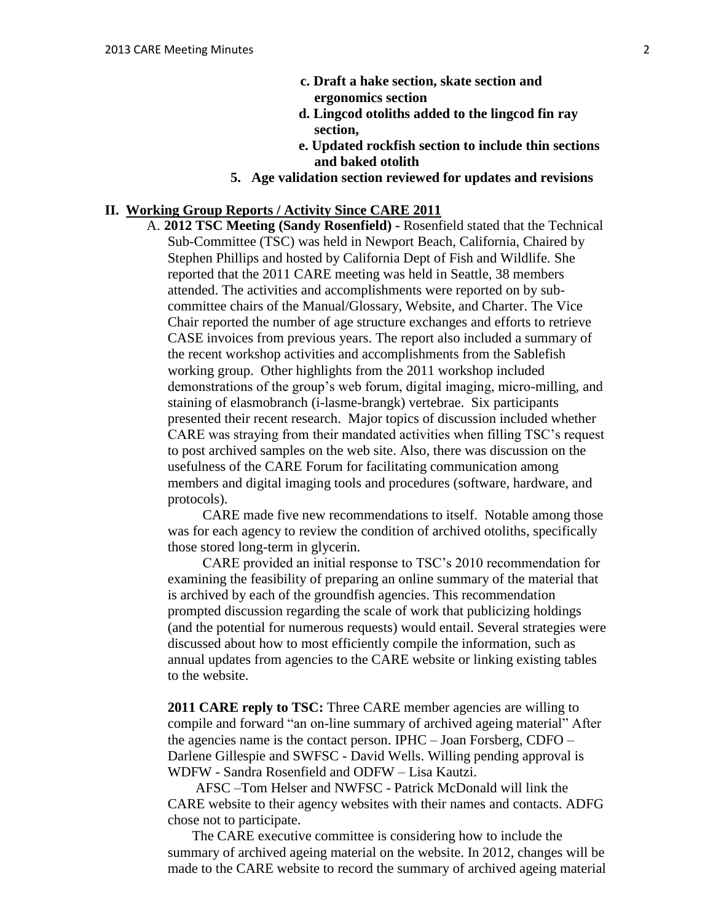- **c. Draft a hake section, skate section and ergonomics section**
- **d. Lingcod otoliths added to the lingcod fin ray section,**
- **e. Updated rockfish section to include thin sections and baked otolith**
- **5. Age validation section reviewed for updates and revisions**

### **II. Working Group Reports / Activity Since CARE 2011**

A. **2012 TSC Meeting (Sandy Rosenfield) -** Rosenfield stated that the Technical Sub-Committee (TSC) was held in Newport Beach, California, Chaired by Stephen Phillips and hosted by California Dept of Fish and Wildlife. She reported that the 2011 CARE meeting was held in Seattle, 38 members attended. The activities and accomplishments were reported on by subcommittee chairs of the Manual/Glossary, Website, and Charter. The Vice Chair reported the number of age structure exchanges and efforts to retrieve CASE invoices from previous years. The report also included a summary of the recent workshop activities and accomplishments from the Sablefish working group. Other highlights from the 2011 workshop included demonstrations of the group's web forum, digital imaging, micro-milling, and staining of elasmobranch (i-lasme-brangk) vertebrae. Six participants presented their recent research. Major topics of discussion included whether CARE was straying from their mandated activities when filling TSC's request to post archived samples on the web site. Also, there was discussion on the usefulness of the CARE Forum for facilitating communication among members and digital imaging tools and procedures (software, hardware, and protocols).

 CARE made five new recommendations to itself. Notable among those was for each agency to review the condition of archived otoliths, specifically those stored long-term in glycerin.

 CARE provided an initial response to TSC's 2010 recommendation for examining the feasibility of preparing an online summary of the material that is archived by each of the groundfish agencies. This recommendation prompted discussion regarding the scale of work that publicizing holdings (and the potential for numerous requests) would entail. Several strategies were discussed about how to most efficiently compile the information, such as annual updates from agencies to the CARE website or linking existing tables to the website.

**2011 CARE reply to TSC:** Three CARE member agencies are willing to compile and forward "an on-line summary of archived ageing material" After the agencies name is the contact person. IPHC – Joan Forsberg, CDFO – Darlene Gillespie and SWFSC - David Wells. Willing pending approval is WDFW - Sandra Rosenfield and ODFW – Lisa Kautzi.

 AFSC –Tom Helser and NWFSC - Patrick McDonald will link the CARE website to their agency websites with their names and contacts. ADFG chose not to participate.

 The CARE executive committee is considering how to include the summary of archived ageing material on the website. In 2012, changes will be made to the CARE website to record the summary of archived ageing material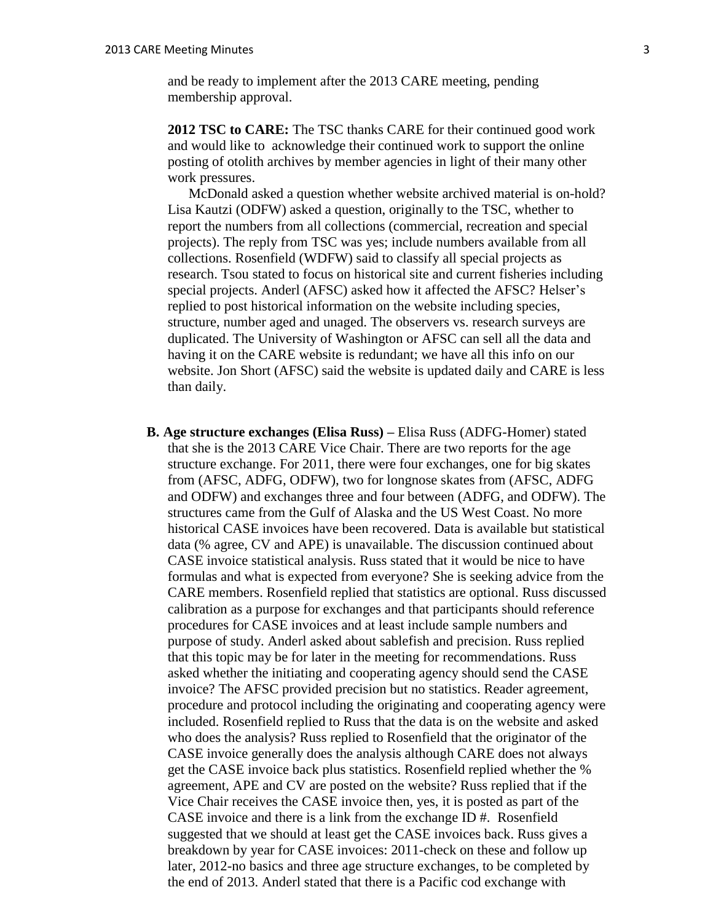and be ready to implement after the 2013 CARE meeting, pending membership approval.

**2012 TSC to CARE:** The TSC thanks CARE for their continued good work and would like to acknowledge their continued work to support the online posting of otolith archives by member agencies in light of their many other work pressures.

 McDonald asked a question whether website archived material is on-hold? Lisa Kautzi (ODFW) asked a question, originally to the TSC, whether to report the numbers from all collections (commercial, recreation and special projects). The reply from TSC was yes; include numbers available from all collections. Rosenfield (WDFW) said to classify all special projects as research. Tsou stated to focus on historical site and current fisheries including special projects. Anderl (AFSC) asked how it affected the AFSC? Helser's replied to post historical information on the website including species, structure, number aged and unaged. The observers vs. research surveys are duplicated. The University of Washington or AFSC can sell all the data and having it on the CARE website is redundant; we have all this info on our website. Jon Short (AFSC) said the website is updated daily and CARE is less than daily.

**B. Age structure exchanges (Elisa Russ) –** Elisa Russ (ADFG-Homer) stated that she is the 2013 CARE Vice Chair. There are two reports for the age structure exchange. For 2011, there were four exchanges, one for big skates from (AFSC, ADFG, ODFW), two for longnose skates from (AFSC, ADFG and ODFW) and exchanges three and four between (ADFG, and ODFW). The structures came from the Gulf of Alaska and the US West Coast. No more historical CASE invoices have been recovered. Data is available but statistical data (% agree, CV and APE) is unavailable. The discussion continued about CASE invoice statistical analysis. Russ stated that it would be nice to have formulas and what is expected from everyone? She is seeking advice from the CARE members. Rosenfield replied that statistics are optional. Russ discussed calibration as a purpose for exchanges and that participants should reference procedures for CASE invoices and at least include sample numbers and purpose of study. Anderl asked about sablefish and precision. Russ replied that this topic may be for later in the meeting for recommendations. Russ asked whether the initiating and cooperating agency should send the CASE invoice? The AFSC provided precision but no statistics. Reader agreement, procedure and protocol including the originating and cooperating agency were included. Rosenfield replied to Russ that the data is on the website and asked who does the analysis? Russ replied to Rosenfield that the originator of the CASE invoice generally does the analysis although CARE does not always get the CASE invoice back plus statistics. Rosenfield replied whether the % agreement, APE and CV are posted on the website? Russ replied that if the Vice Chair receives the CASE invoice then, yes, it is posted as part of the CASE invoice and there is a link from the exchange ID #. Rosenfield suggested that we should at least get the CASE invoices back. Russ gives a breakdown by year for CASE invoices: 2011-check on these and follow up later, 2012-no basics and three age structure exchanges, to be completed by the end of 2013. Anderl stated that there is a Pacific cod exchange with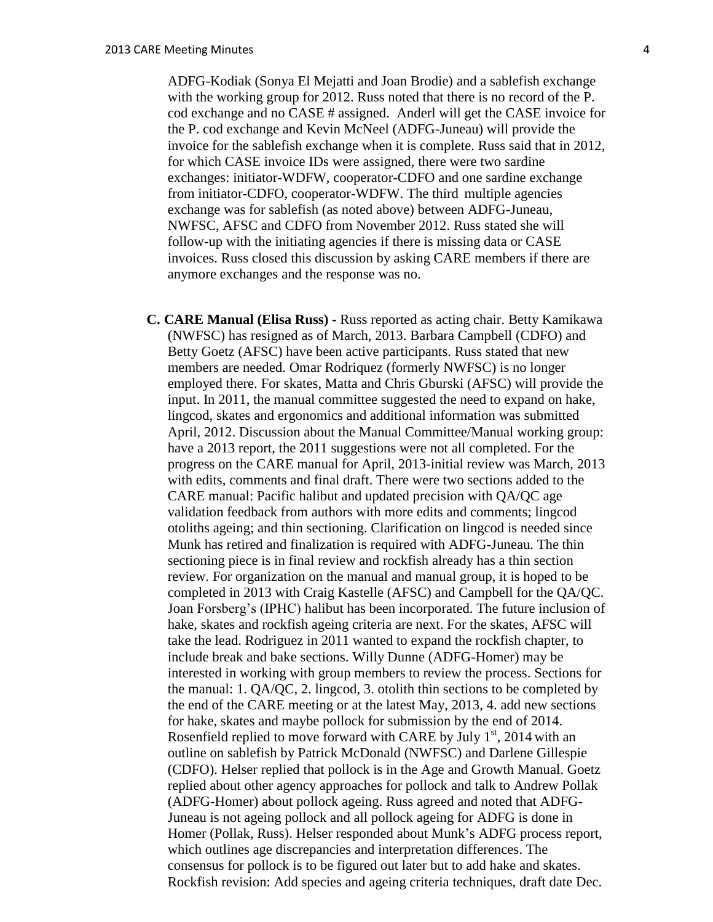ADFG-Kodiak (Sonya El Mejatti and Joan Brodie) and a sablefish exchange with the working group for 2012. Russ noted that there is no record of the P. cod exchange and no CASE # assigned. Anderl will get the CASE invoice for the P. cod exchange and Kevin McNeel (ADFG-Juneau) will provide the invoice for the sablefish exchange when it is complete. Russ said that in 2012, for which CASE invoice IDs were assigned, there were two sardine exchanges: initiator-WDFW, cooperator-CDFO and one sardine exchange from initiator-CDFO, cooperator-WDFW. The third multiple agencies exchange was for sablefish (as noted above) between ADFG-Juneau, NWFSC, AFSC and CDFO from November 2012. Russ stated she will follow-up with the initiating agencies if there is missing data or CASE invoices. Russ closed this discussion by asking CARE members if there are anymore exchanges and the response was no.

**C. CARE Manual (Elisa Russ) -** Russ reported as acting chair. Betty Kamikawa (NWFSC) has resigned as of March, 2013. Barbara Campbell (CDFO) and Betty Goetz (AFSC) have been active participants. Russ stated that new members are needed. Omar Rodriquez (formerly NWFSC) is no longer employed there. For skates, Matta and Chris Gburski (AFSC) will provide the input. In 2011, the manual committee suggested the need to expand on hake, lingcod, skates and ergonomics and additional information was submitted April, 2012. Discussion about the Manual Committee/Manual working group: have a 2013 report, the 2011 suggestions were not all completed. For the progress on the CARE manual for April, 2013-initial review was March, 2013 with edits, comments and final draft. There were two sections added to the CARE manual: Pacific halibut and updated precision with QA/QC age validation feedback from authors with more edits and comments; lingcod otoliths ageing; and thin sectioning. Clarification on lingcod is needed since Munk has retired and finalization is required with ADFG-Juneau. The thin sectioning piece is in final review and rockfish already has a thin section review. For organization on the manual and manual group, it is hoped to be completed in 2013 with Craig Kastelle (AFSC) and Campbell for the QA/QC. Joan Forsberg's (IPHC) halibut has been incorporated. The future inclusion of hake, skates and rockfish ageing criteria are next. For the skates, AFSC will take the lead. Rodriguez in 2011 wanted to expand the rockfish chapter, to include break and bake sections. Willy Dunne (ADFG-Homer) may be interested in working with group members to review the process. Sections for the manual: 1. QA/QC, 2. lingcod, 3. otolith thin sections to be completed by the end of the CARE meeting or at the latest May, 2013, 4. add new sections for hake, skates and maybe pollock for submission by the end of 2014. Rosenfield replied to move forward with CARE by July  $1<sup>st</sup>$ , 2014 with an outline on sablefish by Patrick McDonald (NWFSC) and Darlene Gillespie (CDFO). Helser replied that pollock is in the Age and Growth Manual. Goetz replied about other agency approaches for pollock and talk to Andrew Pollak (ADFG-Homer) about pollock ageing. Russ agreed and noted that ADFG-Juneau is not ageing pollock and all pollock ageing for ADFG is done in Homer (Pollak, Russ). Helser responded about Munk's ADFG process report, which outlines age discrepancies and interpretation differences. The consensus for pollock is to be figured out later but to add hake and skates. Rockfish revision: Add species and ageing criteria techniques, draft date Dec.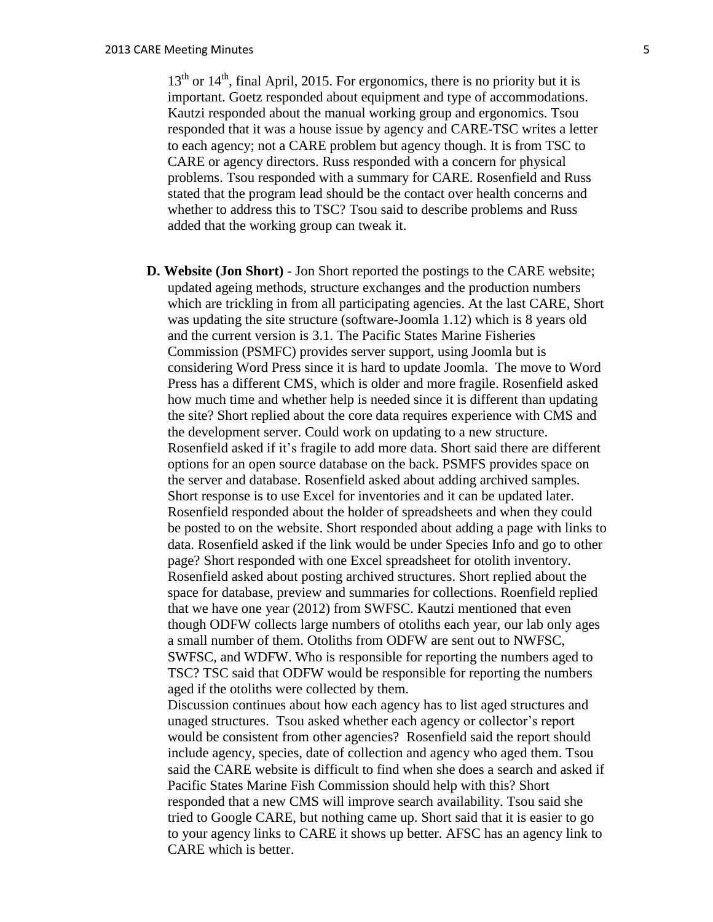$13<sup>th</sup>$  or  $14<sup>th</sup>$ , final April, 2015. For ergonomics, there is no priority but it is important. Goetz responded about equipment and type of accommodations. Kautzi responded about the manual working group and ergonomics. Tsou responded that it was a house issue by agency and CARE-TSC writes a letter to each agency; not a CARE problem but agency though. It is from TSC to CARE or agency directors. Russ responded with a concern for physical problems. Tsou responded with a summary for CARE. Rosenfield and Russ stated that the program lead should be the contact over health concerns and whether to address this to TSC? Tsou said to describe problems and Russ added that the working group can tweak it.

**D. Website (Jon Short)** - Jon Short reported the postings to the CARE website; updated ageing methods, structure exchanges and the production numbers which are trickling in from all participating agencies. At the last CARE, Short was updating the site structure (software-Joomla 1.12) which is 8 years old and the current version is 3.1. The Pacific States Marine Fisheries Commission (PSMFC) provides server support, using Joomla but is considering Word Press since it is hard to update Joomla. The move to Word Press has a different CMS, which is older and more fragile. Rosenfield asked how much time and whether help is needed since it is different than updating the site? Short replied about the core data requires experience with CMS and the development server. Could work on updating to a new structure. Rosenfield asked if it's fragile to add more data. Short said there are different options for an open source database on the back. PSMFS provides space on the server and database. Rosenfield asked about adding archived samples. Short response is to use Excel for inventories and it can be updated later. Rosenfield responded about the holder of spreadsheets and when they could be posted to on the website. Short responded about adding a page with links to data. Rosenfield asked if the link would be under Species Info and go to other page? Short responded with one Excel spreadsheet for otolith inventory. Rosenfield asked about posting archived structures. Short replied about the space for database, preview and summaries for collections. Roenfield replied that we have one year (2012) from SWFSC. Kautzi mentioned that even though ODFW collects large numbers of otoliths each year, our lab only ages a small number of them. Otoliths from ODFW are sent out to NWFSC, SWFSC, and WDFW. Who is responsible for reporting the numbers aged to TSC? TSC said that ODFW would be responsible for reporting the numbers aged if the otoliths were collected by them.

Discussion continues about how each agency has to list aged structures and unaged structures. Tsou asked whether each agency or collector's report would be consistent from other agencies? Rosenfield said the report should include agency, species, date of collection and agency who aged them. Tsou said the CARE website is difficult to find when she does a search and asked if Pacific States Marine Fish Commission should help with this? Short responded that a new CMS will improve search availability. Tsou said she tried to Google CARE, but nothing came up. Short said that it is easier to go to your agency links to CARE it shows up better. AFSC has an agency link to CARE which is better.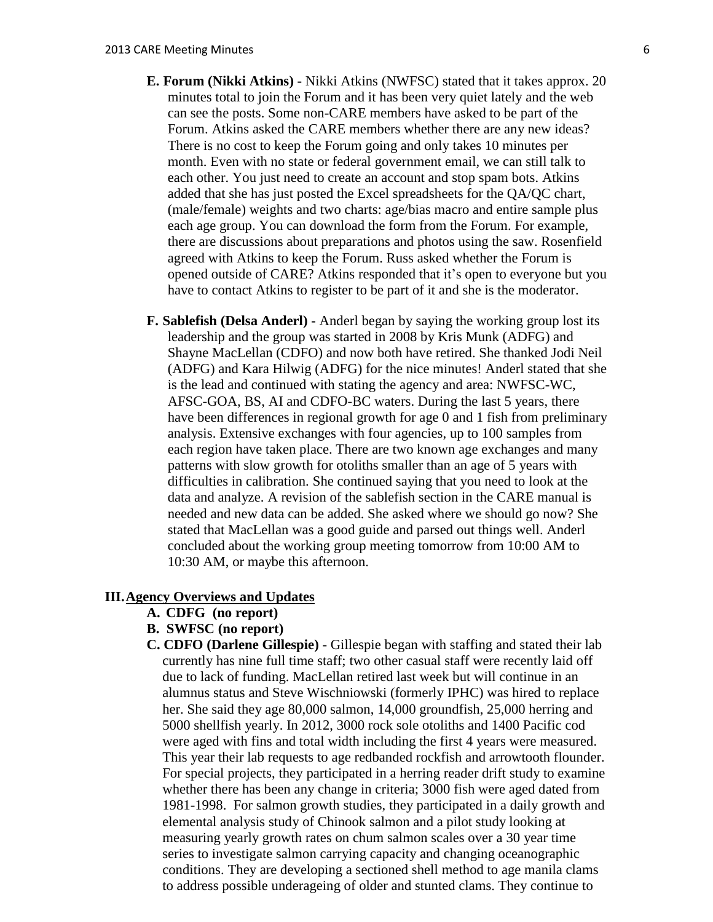- **E. Forum (Nikki Atkins) -** Nikki Atkins (NWFSC) stated that it takes approx. 20 minutes total to join the Forum and it has been very quiet lately and the web can see the posts. Some non-CARE members have asked to be part of the Forum. Atkins asked the CARE members whether there are any new ideas? There is no cost to keep the Forum going and only takes 10 minutes per month. Even with no state or federal government email, we can still talk to each other. You just need to create an account and stop spam bots. Atkins added that she has just posted the Excel spreadsheets for the QA/QC chart, (male/female) weights and two charts: age/bias macro and entire sample plus each age group. You can download the form from the Forum. For example, there are discussions about preparations and photos using the saw. Rosenfield agreed with Atkins to keep the Forum. Russ asked whether the Forum is opened outside of CARE? Atkins responded that it's open to everyone but you have to contact Atkins to register to be part of it and she is the moderator.
- **F. Sablefish (Delsa Anderl) -** Anderl began by saying the working group lost its leadership and the group was started in 2008 by Kris Munk (ADFG) and Shayne MacLellan (CDFO) and now both have retired. She thanked Jodi Neil (ADFG) and Kara Hilwig (ADFG) for the nice minutes! Anderl stated that she is the lead and continued with stating the agency and area: NWFSC-WC, AFSC-GOA, BS, AI and CDFO-BC waters. During the last 5 years, there have been differences in regional growth for age 0 and 1 fish from preliminary analysis. Extensive exchanges with four agencies, up to 100 samples from each region have taken place. There are two known age exchanges and many patterns with slow growth for otoliths smaller than an age of 5 years with difficulties in calibration. She continued saying that you need to look at the data and analyze. A revision of the sablefish section in the CARE manual is needed and new data can be added. She asked where we should go now? She stated that MacLellan was a good guide and parsed out things well. Anderl concluded about the working group meeting tomorrow from 10:00 AM to 10:30 AM, or maybe this afternoon.

## **III.Agency Overviews and Updates**

- **A. CDFG (no report)**
- **B. SWFSC (no report)**
- **C. CDFO (Darlene Gillespie)** Gillespie began with staffing and stated their lab currently has nine full time staff; two other casual staff were recently laid off due to lack of funding. MacLellan retired last week but will continue in an alumnus status and Steve Wischniowski (formerly IPHC) was hired to replace her. She said they age 80,000 salmon, 14,000 groundfish, 25,000 herring and 5000 shellfish yearly. In 2012, 3000 rock sole otoliths and 1400 Pacific cod were aged with fins and total width including the first 4 years were measured. This year their lab requests to age redbanded rockfish and arrowtooth flounder. For special projects, they participated in a herring reader drift study to examine whether there has been any change in criteria; 3000 fish were aged dated from 1981-1998. For salmon growth studies, they participated in a daily growth and elemental analysis study of Chinook salmon and a pilot study looking at measuring yearly growth rates on chum salmon scales over a 30 year time series to investigate salmon carrying capacity and changing oceanographic conditions. They are developing a sectioned shell method to age manila clams to address possible underageing of older and stunted clams. They continue to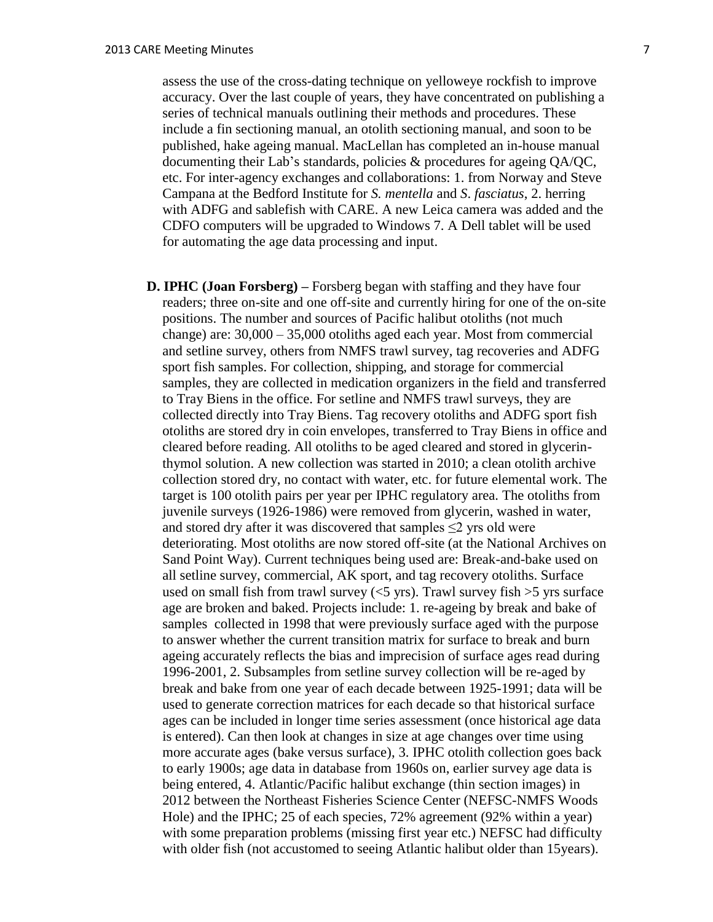assess the use of the cross-dating technique on yelloweye rockfish to improve accuracy. Over the last couple of years, they have concentrated on publishing a series of technical manuals outlining their methods and procedures. These include a fin sectioning manual, an otolith sectioning manual, and soon to be published, hake ageing manual. MacLellan has completed an in-house manual documenting their Lab's standards, policies & procedures for ageing QA/QC, etc. For inter-agency exchanges and collaborations: 1. from Norway and Steve Campana at the Bedford Institute for *S. mentella* and *S*. *fasciatus*, 2. herring with ADFG and sablefish with CARE. A new Leica camera was added and the CDFO computers will be upgraded to Windows 7. A Dell tablet will be used for automating the age data processing and input.

**D. IPHC (Joan Forsberg) –** Forsberg began with staffing and they have four readers; three on-site and one off-site and currently hiring for one of the on-site positions. The number and sources of Pacific halibut otoliths (not much change) are: 30,000 – 35,000 otoliths aged each year. Most from commercial and setline survey, others from NMFS trawl survey, tag recoveries and ADFG sport fish samples. For collection, shipping, and storage for commercial samples, they are collected in medication organizers in the field and transferred to Tray Biens in the office. For setline and NMFS trawl surveys, they are collected directly into Tray Biens. Tag recovery otoliths and ADFG sport fish otoliths are stored dry in coin envelopes, transferred to Tray Biens in office and cleared before reading. All otoliths to be aged cleared and stored in glycerinthymol solution. A new collection was started in 2010; a clean otolith archive collection stored dry, no contact with water, etc. for future elemental work. The target is 100 otolith pairs per year per IPHC regulatory area. The otoliths from juvenile surveys (1926-1986) were removed from glycerin, washed in water, and stored dry after it was discovered that samples ≤2 yrs old were deteriorating. Most otoliths are now stored off-site (at the National Archives on Sand Point Way). Current techniques being used are: Break-and-bake used on all setline survey, commercial, AK sport, and tag recovery otoliths. Surface used on small fish from trawl survey  $(<5$  yrs). Trawl survey fish  $>5$  yrs surface age are broken and baked. Projects include: 1. re-ageing by break and bake of samples collected in 1998 that were previously surface aged with the purpose to answer whether the current transition matrix for surface to break and burn ageing accurately reflects the bias and imprecision of surface ages read during 1996-2001, 2. Subsamples from setline survey collection will be re-aged by break and bake from one year of each decade between 1925-1991; data will be used to generate correction matrices for each decade so that historical surface ages can be included in longer time series assessment (once historical age data is entered). Can then look at changes in size at age changes over time using more accurate ages (bake versus surface), 3. IPHC otolith collection goes back to early 1900s; age data in database from 1960s on, earlier survey age data is being entered, 4. Atlantic/Pacific halibut exchange (thin section images) in 2012 between the Northeast Fisheries Science Center (NEFSC-NMFS Woods Hole) and the IPHC; 25 of each species, 72% agreement (92% within a year) with some preparation problems (missing first year etc.) NEFSC had difficulty with older fish (not accustomed to seeing Atlantic halibut older than 15 years).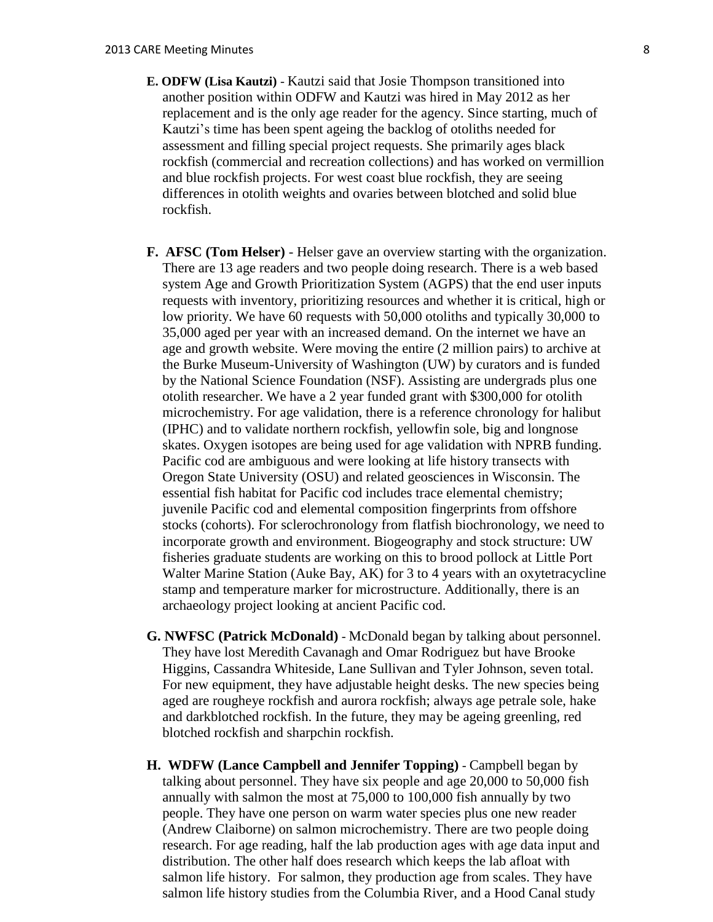- **E. ODFW (Lisa Kautzi)**  Kautzi said that Josie Thompson transitioned into another position within ODFW and Kautzi was hired in May 2012 as her replacement and is the only age reader for the agency. Since starting, much of Kautzi's time has been spent ageing the backlog of otoliths needed for assessment and filling special project requests. She primarily ages black rockfish (commercial and recreation collections) and has worked on vermillion and blue rockfish projects. For west coast blue rockfish, they are seeing differences in otolith weights and ovaries between blotched and solid blue rockfish.
- **F. AFSC (Tom Helser)** Helser gave an overview starting with the organization. There are 13 age readers and two people doing research. There is a web based system Age and Growth Prioritization System (AGPS) that the end user inputs requests with inventory, prioritizing resources and whether it is critical, high or low priority. We have 60 requests with 50,000 otoliths and typically 30,000 to 35,000 aged per year with an increased demand. On the internet we have an age and growth website. Were moving the entire (2 million pairs) to archive at the Burke Museum-University of Washington (UW) by curators and is funded by the National Science Foundation (NSF). Assisting are undergrads plus one otolith researcher. We have a 2 year funded grant with \$300,000 for otolith microchemistry. For age validation, there is a reference chronology for halibut (IPHC) and to validate northern rockfish, yellowfin sole, big and longnose skates. Oxygen isotopes are being used for age validation with NPRB funding. Pacific cod are ambiguous and were looking at life history transects with Oregon State University (OSU) and related geosciences in Wisconsin. The essential fish habitat for Pacific cod includes trace elemental chemistry; juvenile Pacific cod and elemental composition fingerprints from offshore stocks (cohorts). For sclerochronology from flatfish biochronology, we need to incorporate growth and environment. Biogeography and stock structure: UW fisheries graduate students are working on this to brood pollock at Little Port Walter Marine Station (Auke Bay, AK) for 3 to 4 years with an oxytetracycline stamp and temperature marker for microstructure. Additionally, there is an archaeology project looking at ancient Pacific cod.
- **G. NWFSC (Patrick McDonald)** McDonald began by talking about personnel. They have lost Meredith Cavanagh and Omar Rodriguez but have Brooke Higgins, Cassandra Whiteside, Lane Sullivan and Tyler Johnson, seven total. For new equipment, they have adjustable height desks. The new species being aged are rougheye rockfish and aurora rockfish; always age petrale sole, hake and darkblotched rockfish. In the future, they may be ageing greenling, red blotched rockfish and sharpchin rockfish.
- **H. WDFW (Lance Campbell and Jennifer Topping)** Campbell began by talking about personnel. They have six people and age 20,000 to 50,000 fish annually with salmon the most at 75,000 to 100,000 fish annually by two people. They have one person on warm water species plus one new reader (Andrew Claiborne) on salmon microchemistry. There are two people doing research. For age reading, half the lab production ages with age data input and distribution. The other half does research which keeps the lab afloat with salmon life history. For salmon, they production age from scales. They have salmon life history studies from the Columbia River, and a Hood Canal study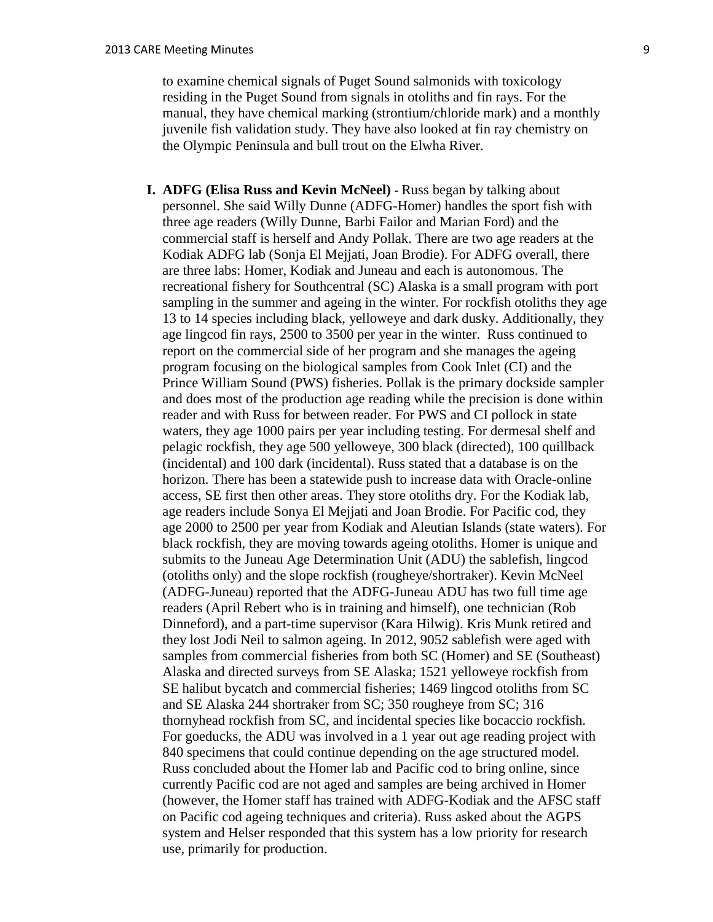to examine chemical signals of Puget Sound salmonids with toxicology residing in the Puget Sound from signals in otoliths and fin rays. For the manual, they have chemical marking (strontium/chloride mark) and a monthly juvenile fish validation study. They have also looked at fin ray chemistry on the Olympic Peninsula and bull trout on the Elwha River.

**I. ADFG (Elisa Russ and Kevin McNeel)** - Russ began by talking about personnel. She said Willy Dunne (ADFG-Homer) handles the sport fish with three age readers (Willy Dunne, Barbi Failor and Marian Ford) and the commercial staff is herself and Andy Pollak. There are two age readers at the Kodiak ADFG lab (Sonja El Mejjati, Joan Brodie). For ADFG overall, there are three labs: Homer, Kodiak and Juneau and each is autonomous. The recreational fishery for Southcentral (SC) Alaska is a small program with port sampling in the summer and ageing in the winter. For rockfish otoliths they age 13 to 14 species including black, yelloweye and dark dusky. Additionally, they age lingcod fin rays, 2500 to 3500 per year in the winter. Russ continued to report on the commercial side of her program and she manages the ageing program focusing on the biological samples from Cook Inlet (CI) and the Prince William Sound (PWS) fisheries. Pollak is the primary dockside sampler and does most of the production age reading while the precision is done within reader and with Russ for between reader. For PWS and CI pollock in state waters, they age 1000 pairs per year including testing. For dermesal shelf and pelagic rockfish, they age 500 yelloweye, 300 black (directed), 100 quillback (incidental) and 100 dark (incidental). Russ stated that a database is on the horizon. There has been a statewide push to increase data with Oracle-online access, SE first then other areas. They store otoliths dry. For the Kodiak lab, age readers include Sonya El Mejjati and Joan Brodie. For Pacific cod, they age 2000 to 2500 per year from Kodiak and Aleutian Islands (state waters). For black rockfish, they are moving towards ageing otoliths. Homer is unique and submits to the Juneau Age Determination Unit (ADU) the sablefish, lingcod (otoliths only) and the slope rockfish (rougheye/shortraker). Kevin McNeel (ADFG-Juneau) reported that the ADFG-Juneau ADU has two full time age readers (April Rebert who is in training and himself), one technician (Rob Dinneford), and a part-time supervisor (Kara Hilwig). Kris Munk retired and they lost Jodi Neil to salmon ageing. In 2012, 9052 sablefish were aged with samples from commercial fisheries from both SC (Homer) and SE (Southeast) Alaska and directed surveys from SE Alaska; 1521 yelloweye rockfish from SE halibut bycatch and commercial fisheries; 1469 lingcod otoliths from SC and SE Alaska 244 shortraker from SC; 350 rougheye from SC; 316 thornyhead rockfish from SC, and incidental species like bocaccio rockfish. For goeducks, the ADU was involved in a 1 year out age reading project with 840 specimens that could continue depending on the age structured model. Russ concluded about the Homer lab and Pacific cod to bring online, since currently Pacific cod are not aged and samples are being archived in Homer (however, the Homer staff has trained with ADFG-Kodiak and the AFSC staff on Pacific cod ageing techniques and criteria). Russ asked about the AGPS system and Helser responded that this system has a low priority for research use, primarily for production.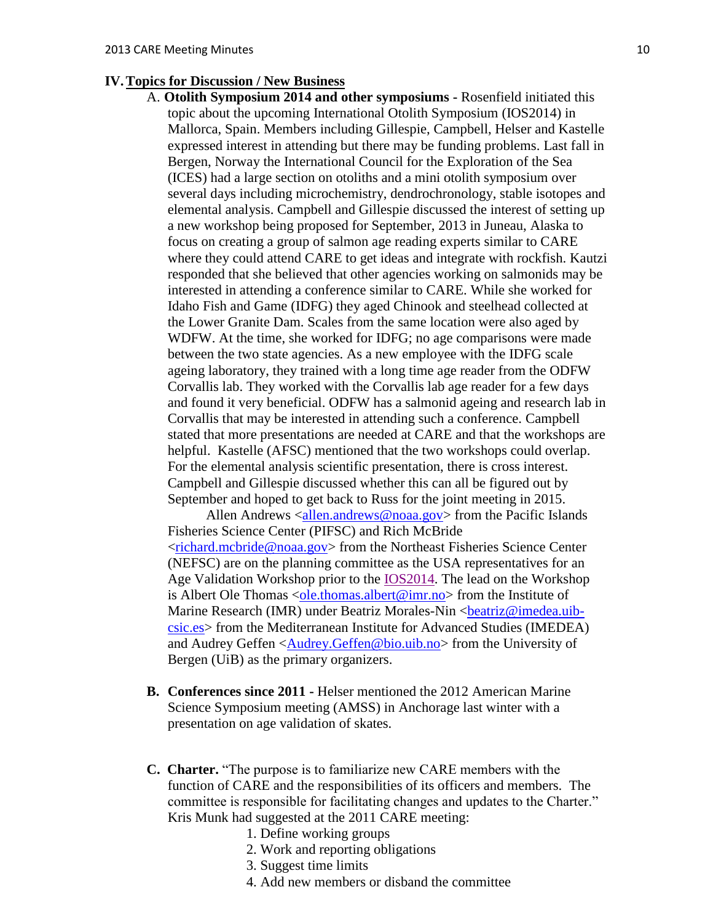## **IV.Topics for Discussion / New Business**

A. **Otolith Symposium 2014 and other symposiums -** Rosenfield initiated this topic about the upcoming International Otolith Symposium (IOS2014) in Mallorca, Spain. Members including Gillespie, Campbell, Helser and Kastelle expressed interest in attending but there may be funding problems. Last fall in Bergen, Norway the International Council for the Exploration of the Sea (ICES) had a large section on otoliths and a mini otolith symposium over several days including microchemistry, dendrochronology, stable isotopes and elemental analysis. Campbell and Gillespie discussed the interest of setting up a new workshop being proposed for September, 2013 in Juneau, Alaska to focus on creating a group of salmon age reading experts similar to CARE where they could attend CARE to get ideas and integrate with rockfish. Kautzi responded that she believed that other agencies working on salmonids may be interested in attending a conference similar to CARE. While she worked for Idaho Fish and Game (IDFG) they aged Chinook and steelhead collected at the Lower Granite Dam. Scales from the same location were also aged by WDFW. At the time, she worked for IDFG; no age comparisons were made between the two state agencies. As a new employee with the IDFG scale ageing laboratory, they trained with a long time age reader from the ODFW Corvallis lab. They worked with the Corvallis lab age reader for a few days and found it very beneficial. ODFW has a salmonid ageing and research lab in Corvallis that may be interested in attending such a conference. Campbell stated that more presentations are needed at CARE and that the workshops are helpful. Kastelle (AFSC) mentioned that the two workshops could overlap. For the elemental analysis scientific presentation, there is cross interest. Campbell and Gillespie discussed whether this can all be figured out by September and hoped to get back to Russ for the joint meeting in 2015.

Allen Andrews [<allen.andrews@noaa.gov>](mailto:allen.andrews@noaa.gov) from the Pacific Islands Fisheries Science Center (PIFSC) and Rich McBride [<richard.mcbride@noaa.gov>](mailto:richard.mcbride@noaa.gov) from the Northeast Fisheries Science Center (NEFSC) are on the planning committee as the USA representatives for an Age Validation Workshop prior to the [IOS2014.](http://www.ices.dk/news-and-events/symposia/otolith/Pages/default.aspx) The lead on the Workshop is Albert Ole Thomas [<ole.thomas.albert@imr.no>](mailto:ole.thomas.albert@imr.no) from the Institute of Marine Research (IMR) under Beatriz Morales-Nin <br/>beatriz@imedea.uib[csic.es>](mailto:beatriz@imedea.uib-csic.es) from the Mediterranean Institute for Advanced Studies (IMEDEA) and Audrey Geffen [<Audrey.Geffen@bio.uib.no>](mailto:Audrey.Geffen@bio.uib.no) from the University of Bergen (UiB) as the primary organizers.

- **B. Conferences since 2011 -** Helser mentioned the 2012 American Marine Science Symposium meeting (AMSS) in Anchorage last winter with a presentation on age validation of skates.
- **C. Charter.** "The purpose is to familiarize new CARE members with the function of CARE and the responsibilities of its officers and members. The committee is responsible for facilitating changes and updates to the Charter." Kris Munk had suggested at the 2011 CARE meeting:
	- 1. Define working groups
	- 2. Work and reporting obligations
	- 3. Suggest time limits
	- 4. Add new members or disband the committee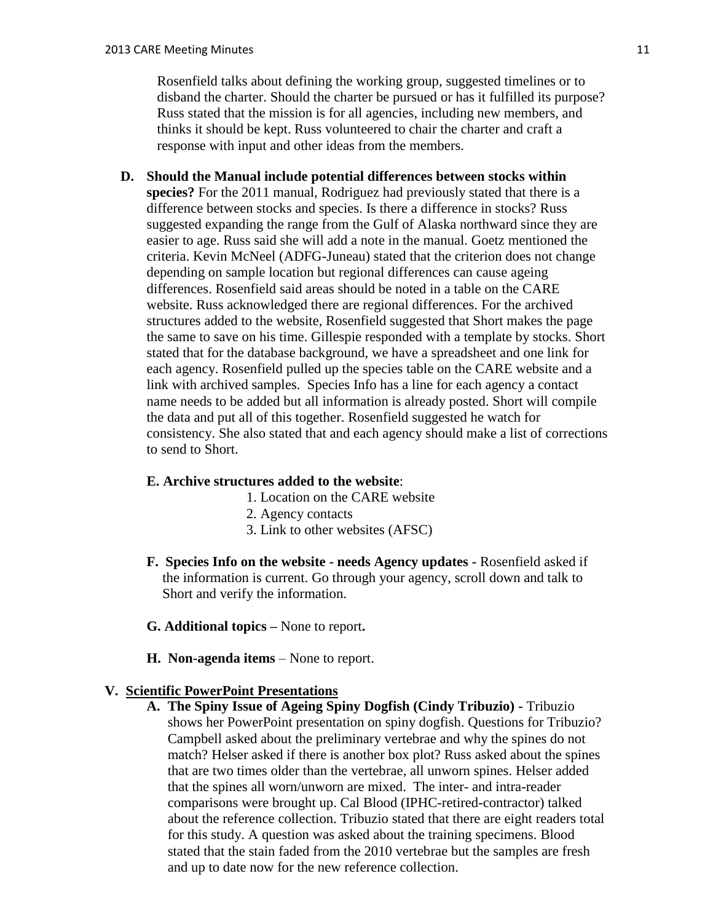Rosenfield talks about defining the working group, suggested timelines or to disband the charter. Should the charter be pursued or has it fulfilled its purpose? Russ stated that the mission is for all agencies, including new members, and thinks it should be kept. Russ volunteered to chair the charter and craft a response with input and other ideas from the members.

**D. Should the Manual include potential differences between stocks within species?** For the 2011 manual, Rodriguez had previously stated that there is a difference between stocks and species. Is there a difference in stocks? Russ suggested expanding the range from the Gulf of Alaska northward since they are easier to age. Russ said she will add a note in the manual. Goetz mentioned the criteria. Kevin McNeel (ADFG-Juneau) stated that the criterion does not change depending on sample location but regional differences can cause ageing differences. Rosenfield said areas should be noted in a table on the CARE website. Russ acknowledged there are regional differences. For the archived structures added to the website, Rosenfield suggested that Short makes the page the same to save on his time. Gillespie responded with a template by stocks. Short stated that for the database background, we have a spreadsheet and one link for each agency. Rosenfield pulled up the species table on the CARE website and a link with archived samples. Species Info has a line for each agency a contact name needs to be added but all information is already posted. Short will compile the data and put all of this together. Rosenfield suggested he watch for consistency. She also stated that and each agency should make a list of corrections to send to Short.

## **E. Archive structures added to the website**:

- 1. Location on the CARE website
- 2. Agency contacts
- 3. Link to other websites (AFSC)
- **F. Species Info on the website - needs Agency updates -** Rosenfield asked if the information is current. Go through your agency, scroll down and talk to Short and verify the information.
- **G. Additional topics –** None to report**.**
- **H. Non-agenda items** None to report.

### **V. Scientific PowerPoint Presentations**

**A. The Spiny Issue of Ageing Spiny Dogfish (Cindy Tribuzio) -** Tribuzio shows her PowerPoint presentation on spiny dogfish. Questions for Tribuzio? Campbell asked about the preliminary vertebrae and why the spines do not match? Helser asked if there is another box plot? Russ asked about the spines that are two times older than the vertebrae, all unworn spines. Helser added that the spines all worn/unworn are mixed. The inter- and intra-reader comparisons were brought up. Cal Blood (IPHC-retired-contractor) talked about the reference collection. Tribuzio stated that there are eight readers total for this study. A question was asked about the training specimens. Blood stated that the stain faded from the 2010 vertebrae but the samples are fresh and up to date now for the new reference collection.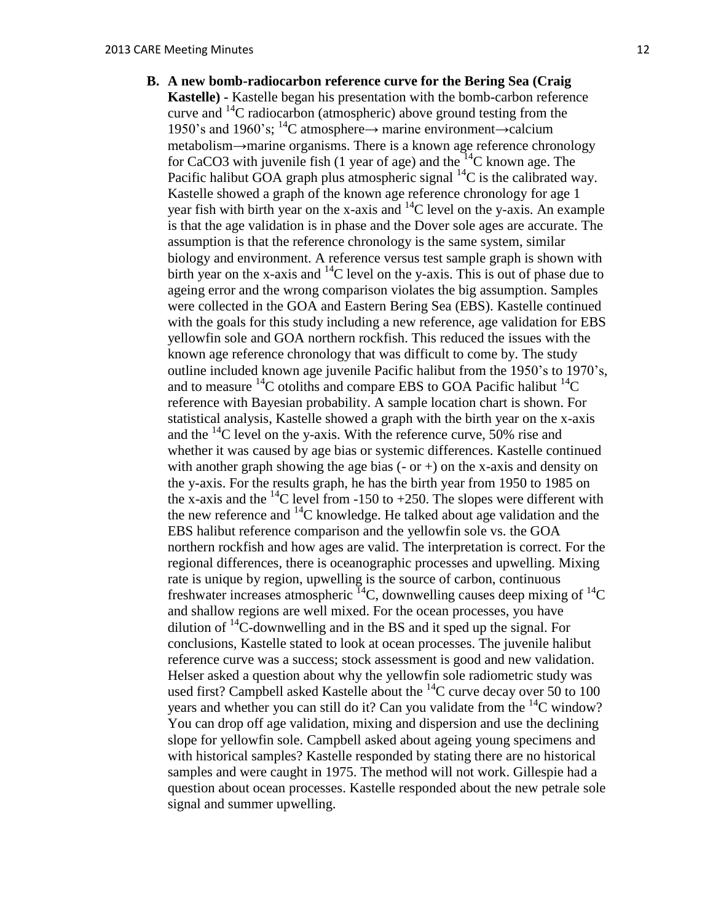**B. A new bomb-radiocarbon reference curve for the Bering Sea (Craig Kastelle) -** Kastelle began his presentation with the bomb-carbon reference curve and  $^{14}$ C radiocarbon (atmospheric) above ground testing from the 1950's and 1960's; <sup>14</sup>C atmosphere→ marine environment→calcium metabolism→marine organisms. There is a known age reference chronology for CaCO3 with juvenile fish (1 year of age) and the  $14C$  known age. The Pacific halibut GOA graph plus atmospheric signal  ${}^{14}C$  is the calibrated way. Kastelle showed a graph of the known age reference chronology for age 1 year fish with birth year on the x-axis and  $^{14}$ C level on the y-axis. An example is that the age validation is in phase and the Dover sole ages are accurate. The assumption is that the reference chronology is the same system, similar biology and environment. A reference versus test sample graph is shown with birth year on the x-axis and  $^{14}$ C level on the y-axis. This is out of phase due to ageing error and the wrong comparison violates the big assumption. Samples were collected in the GOA and Eastern Bering Sea (EBS). Kastelle continued with the goals for this study including a new reference, age validation for EBS yellowfin sole and GOA northern rockfish. This reduced the issues with the known age reference chronology that was difficult to come by. The study outline included known age juvenile Pacific halibut from the 1950's to 1970's, and to measure  $^{14}$ C otoliths and compare EBS to GOA Pacific halibut  $^{14}$ C reference with Bayesian probability. A sample location chart is shown. For statistical analysis, Kastelle showed a graph with the birth year on the x-axis and the  $^{14}$ C level on the y-axis. With the reference curve, 50% rise and whether it was caused by age bias or systemic differences. Kastelle continued with another graph showing the age bias  $(-or +)$  on the x-axis and density on the y-axis. For the results graph, he has the birth year from 1950 to 1985 on the x-axis and the  $^{14}$ C level from -150 to +250. The slopes were different with the new reference and  $^{14}$ C knowledge. He talked about age validation and the EBS halibut reference comparison and the yellowfin sole vs. the GOA northern rockfish and how ages are valid. The interpretation is correct. For the regional differences, there is oceanographic processes and upwelling. Mixing rate is unique by region, upwelling is the source of carbon, continuous freshwater increases atmospheric  ${}^{14}C$ , downwelling causes deep mixing of  ${}^{14}C$ and shallow regions are well mixed. For the ocean processes, you have dilution of <sup>14</sup>C-downwelling and in the BS and it sped up the signal. For conclusions, Kastelle stated to look at ocean processes. The juvenile halibut reference curve was a success; stock assessment is good and new validation. Helser asked a question about why the yellowfin sole radiometric study was used first? Campbell asked Kastelle about the <sup>14</sup>C curve decay over 50 to 100 years and whether you can still do it? Can you validate from the  ${}^{14}C$  window? You can drop off age validation, mixing and dispersion and use the declining slope for yellowfin sole. Campbell asked about ageing young specimens and with historical samples? Kastelle responded by stating there are no historical samples and were caught in 1975. The method will not work. Gillespie had a question about ocean processes. Kastelle responded about the new petrale sole signal and summer upwelling.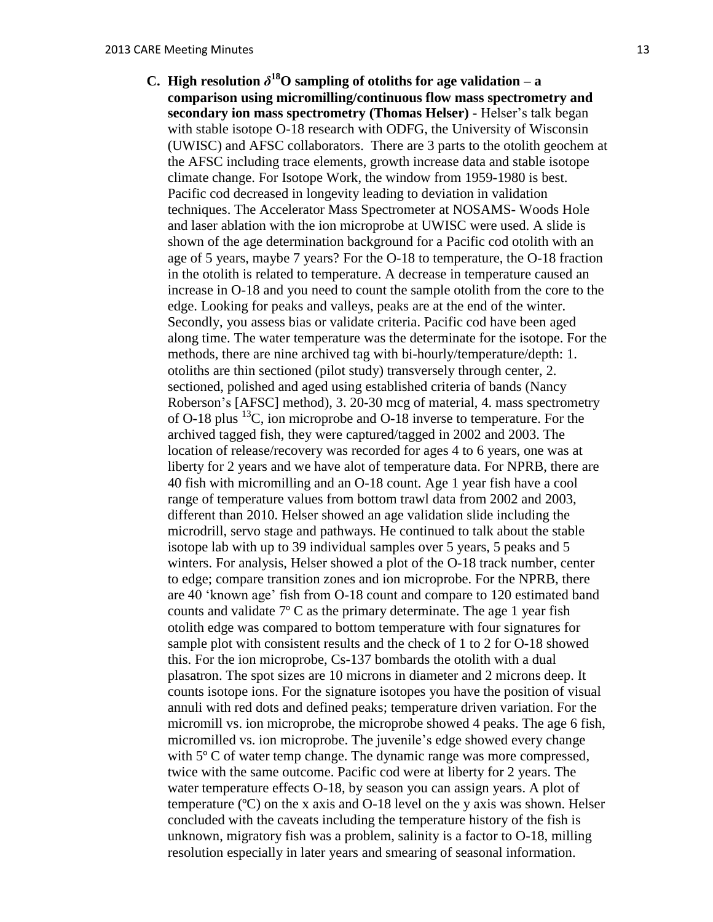**C. High resolution**  $\delta^{18}$ **O** sampling of otoliths for age validation – a **comparison using micromilling/continuous flow mass spectrometry and secondary ion mass spectrometry (Thomas Helser) -** Helser's talk began with stable isotope O-18 research with ODFG, the University of Wisconsin (UWISC) and AFSC collaborators. There are 3 parts to the otolith geochem at the AFSC including trace elements, growth increase data and stable isotope climate change. For Isotope Work, the window from 1959-1980 is best. Pacific cod decreased in longevity leading to deviation in validation techniques. The Accelerator Mass Spectrometer at NOSAMS- Woods Hole and laser ablation with the ion microprobe at UWISC were used. A slide is shown of the age determination background for a Pacific cod otolith with an age of 5 years, maybe 7 years? For the O-18 to temperature, the O-18 fraction in the otolith is related to temperature. A decrease in temperature caused an increase in O-18 and you need to count the sample otolith from the core to the edge. Looking for peaks and valleys, peaks are at the end of the winter. Secondly, you assess bias or validate criteria. Pacific cod have been aged along time. The water temperature was the determinate for the isotope. For the methods, there are nine archived tag with bi-hourly/temperature/depth: 1. otoliths are thin sectioned (pilot study) transversely through center, 2. sectioned, polished and aged using established criteria of bands (Nancy Roberson's [AFSC] method), 3. 20-30 mcg of material, 4. mass spectrometry of O-18 plus <sup>13</sup>C, ion microprobe and O-18 inverse to temperature. For the archived tagged fish, they were captured/tagged in 2002 and 2003. The location of release/recovery was recorded for ages 4 to 6 years, one was at liberty for 2 years and we have alot of temperature data. For NPRB, there are 40 fish with micromilling and an O-18 count. Age 1 year fish have a cool range of temperature values from bottom trawl data from 2002 and 2003, different than 2010. Helser showed an age validation slide including the microdrill, servo stage and pathways. He continued to talk about the stable isotope lab with up to 39 individual samples over 5 years, 5 peaks and 5 winters. For analysis, Helser showed a plot of the O-18 track number, center to edge; compare transition zones and ion microprobe. For the NPRB, there are 40 'known age' fish from O-18 count and compare to 120 estimated band counts and validate  $7^{\circ}$  C as the primary determinate. The age 1 year fish otolith edge was compared to bottom temperature with four signatures for sample plot with consistent results and the check of 1 to 2 for O-18 showed this. For the ion microprobe, Cs-137 bombards the otolith with a dual plasatron. The spot sizes are 10 microns in diameter and 2 microns deep. It counts isotope ions. For the signature isotopes you have the position of visual annuli with red dots and defined peaks; temperature driven variation. For the micromill vs. ion microprobe, the microprobe showed 4 peaks. The age 6 fish, micromilled vs. ion microprobe. The juvenile's edge showed every change with 5<sup>o</sup> C of water temp change. The dynamic range was more compressed, twice with the same outcome. Pacific cod were at liberty for 2 years. The water temperature effects O-18, by season you can assign years. A plot of temperature (ºC) on the x axis and O-18 level on the y axis was shown. Helser concluded with the caveats including the temperature history of the fish is unknown, migratory fish was a problem, salinity is a factor to O-18, milling resolution especially in later years and smearing of seasonal information.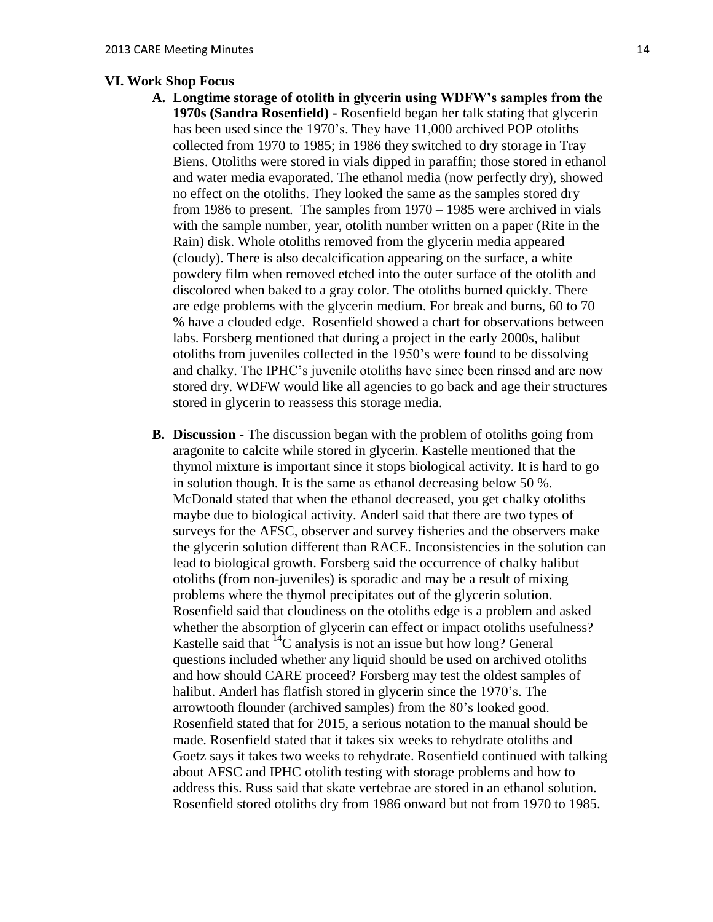### **VI. Work Shop Focus**

- **A. Longtime storage of otolith in glycerin using WDFW's samples from the 1970s (Sandra Rosenfield) -** Rosenfield began her talk stating that glycerin has been used since the 1970's. They have 11,000 archived POP otoliths collected from 1970 to 1985; in 1986 they switched to dry storage in Tray Biens. Otoliths were stored in vials dipped in paraffin; those stored in ethanol and water media evaporated. The ethanol media (now perfectly dry), showed no effect on the otoliths. They looked the same as the samples stored dry from 1986 to present. The samples from 1970 – 1985 were archived in vials with the sample number, year, otolith number written on a paper (Rite in the Rain) disk. Whole otoliths removed from the glycerin media appeared (cloudy). There is also decalcification appearing on the surface, a white powdery film when removed etched into the outer surface of the otolith and discolored when baked to a gray color. The otoliths burned quickly. There are edge problems with the glycerin medium. For break and burns, 60 to 70 % have a clouded edge. Rosenfield showed a chart for observations between labs. Forsberg mentioned that during a project in the early 2000s, halibut otoliths from juveniles collected in the 1950's were found to be dissolving and chalky. The IPHC's juvenile otoliths have since been rinsed and are now stored dry. WDFW would like all agencies to go back and age their structures stored in glycerin to reassess this storage media.
- **B. Discussion -** The discussion began with the problem of otoliths going from aragonite to calcite while stored in glycerin. Kastelle mentioned that the thymol mixture is important since it stops biological activity. It is hard to go in solution though. It is the same as ethanol decreasing below 50 %. McDonald stated that when the ethanol decreased, you get chalky otoliths maybe due to biological activity. Anderl said that there are two types of surveys for the AFSC, observer and survey fisheries and the observers make the glycerin solution different than RACE. Inconsistencies in the solution can lead to biological growth. Forsberg said the occurrence of chalky halibut otoliths (from non-juveniles) is sporadic and may be a result of mixing problems where the thymol precipitates out of the glycerin solution. Rosenfield said that cloudiness on the otoliths edge is a problem and asked whether the absorption of glycerin can effect or impact otoliths usefulness? Kastelle said that  ${}^{14}C$  analysis is not an issue but how long? General questions included whether any liquid should be used on archived otoliths and how should CARE proceed? Forsberg may test the oldest samples of halibut. Anderl has flatfish stored in glycerin since the 1970's. The arrowtooth flounder (archived samples) from the 80's looked good. Rosenfield stated that for 2015, a serious notation to the manual should be made. Rosenfield stated that it takes six weeks to rehydrate otoliths and Goetz says it takes two weeks to rehydrate. Rosenfield continued with talking about AFSC and IPHC otolith testing with storage problems and how to address this. Russ said that skate vertebrae are stored in an ethanol solution. Rosenfield stored otoliths dry from 1986 onward but not from 1970 to 1985.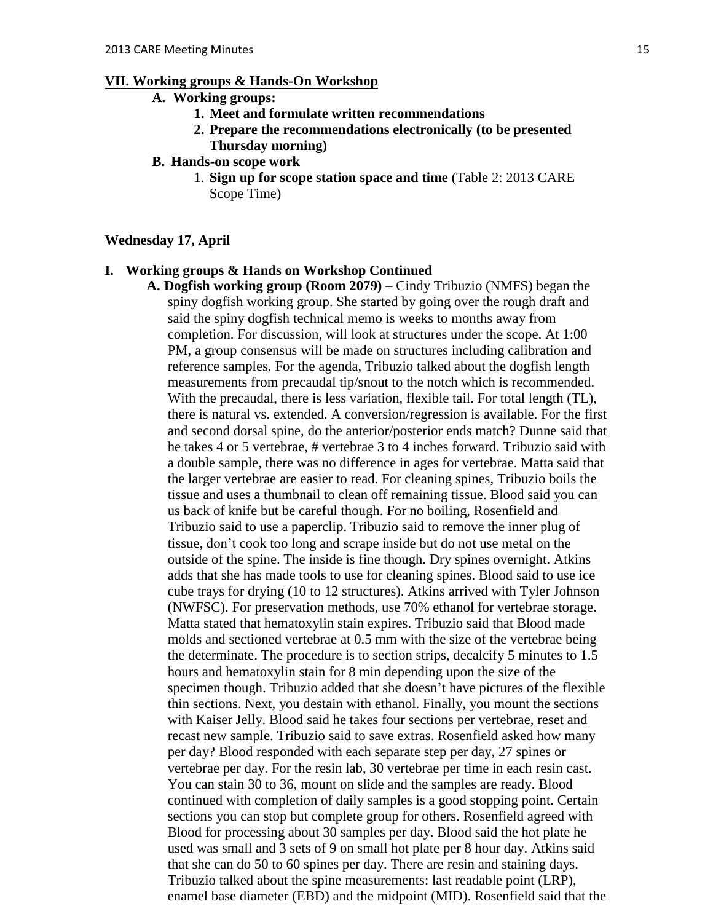### **VII. Working groups & Hands-On Workshop**

- **A. Working groups:** 
	- **1. Meet and formulate written recommendations**
	- **2. Prepare the recommendations electronically (to be presented Thursday morning)**
- **B. Hands-on scope work**
	- 1. **Sign up for scope station space and time** (Table 2: 2013 CARE Scope Time)

#### **Wednesday 17, April**

#### **I. Working groups & Hands on Workshop Continued**

**A. Dogfish working group (Room 2079)** – Cindy Tribuzio (NMFS) began the spiny dogfish working group. She started by going over the rough draft and said the spiny dogfish technical memo is weeks to months away from completion. For discussion, will look at structures under the scope. At 1:00 PM, a group consensus will be made on structures including calibration and reference samples. For the agenda, Tribuzio talked about the dogfish length measurements from precaudal tip/snout to the notch which is recommended. With the precaudal, there is less variation, flexible tail. For total length (TL), there is natural vs. extended. A conversion/regression is available. For the first and second dorsal spine, do the anterior/posterior ends match? Dunne said that he takes 4 or 5 vertebrae, # vertebrae 3 to 4 inches forward. Tribuzio said with a double sample, there was no difference in ages for vertebrae. Matta said that the larger vertebrae are easier to read. For cleaning spines, Tribuzio boils the tissue and uses a thumbnail to clean off remaining tissue. Blood said you can us back of knife but be careful though. For no boiling, Rosenfield and Tribuzio said to use a paperclip. Tribuzio said to remove the inner plug of tissue, don't cook too long and scrape inside but do not use metal on the outside of the spine. The inside is fine though. Dry spines overnight. Atkins adds that she has made tools to use for cleaning spines. Blood said to use ice cube trays for drying (10 to 12 structures). Atkins arrived with Tyler Johnson (NWFSC). For preservation methods, use 70% ethanol for vertebrae storage. Matta stated that hematoxylin stain expires. Tribuzio said that Blood made molds and sectioned vertebrae at 0.5 mm with the size of the vertebrae being the determinate. The procedure is to section strips, decalcify 5 minutes to 1.5 hours and hematoxylin stain for 8 min depending upon the size of the specimen though. Tribuzio added that she doesn't have pictures of the flexible thin sections. Next, you destain with ethanol. Finally, you mount the sections with Kaiser Jelly. Blood said he takes four sections per vertebrae, reset and recast new sample. Tribuzio said to save extras. Rosenfield asked how many per day? Blood responded with each separate step per day, 27 spines or vertebrae per day. For the resin lab, 30 vertebrae per time in each resin cast. You can stain 30 to 36, mount on slide and the samples are ready. Blood continued with completion of daily samples is a good stopping point. Certain sections you can stop but complete group for others. Rosenfield agreed with Blood for processing about 30 samples per day. Blood said the hot plate he used was small and 3 sets of 9 on small hot plate per 8 hour day. Atkins said that she can do 50 to 60 spines per day. There are resin and staining days. Tribuzio talked about the spine measurements: last readable point (LRP), enamel base diameter (EBD) and the midpoint (MID). Rosenfield said that the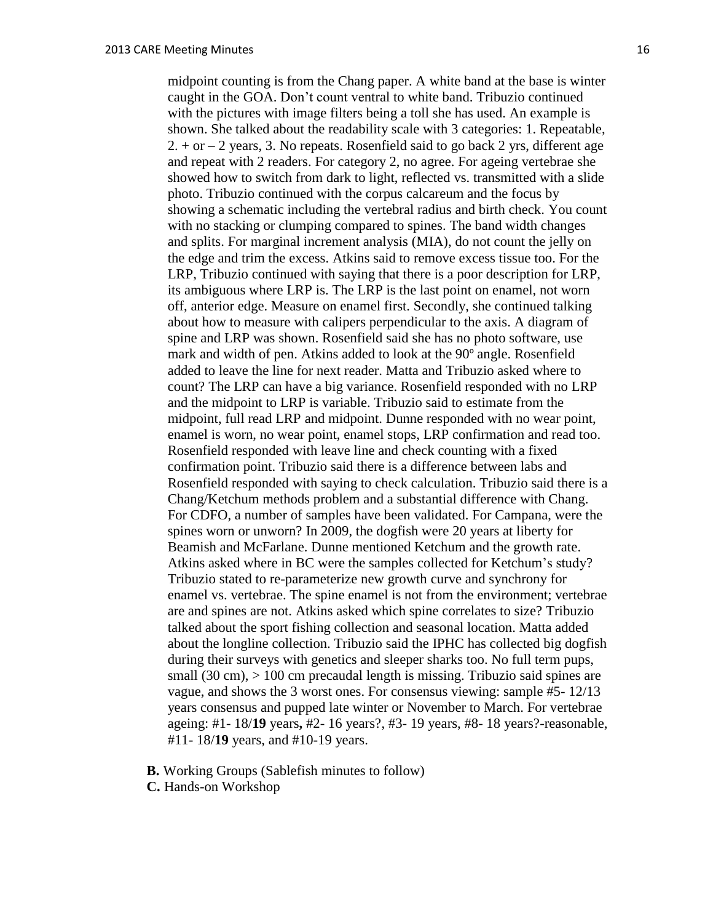midpoint counting is from the Chang paper. A white band at the base is winter caught in the GOA. Don't count ventral to white band. Tribuzio continued with the pictures with image filters being a toll she has used. An example is shown. She talked about the readability scale with 3 categories: 1. Repeatable,  $2. + or - 2$  years, 3. No repeats. Rosenfield said to go back 2 yrs, different age and repeat with 2 readers. For category 2, no agree. For ageing vertebrae she showed how to switch from dark to light, reflected vs. transmitted with a slide photo. Tribuzio continued with the corpus calcareum and the focus by showing a schematic including the vertebral radius and birth check. You count with no stacking or clumping compared to spines. The band width changes and splits. For marginal increment analysis (MIA), do not count the jelly on the edge and trim the excess. Atkins said to remove excess tissue too. For the LRP, Tribuzio continued with saying that there is a poor description for LRP, its ambiguous where LRP is. The LRP is the last point on enamel, not worn off, anterior edge. Measure on enamel first. Secondly, she continued talking about how to measure with calipers perpendicular to the axis. A diagram of spine and LRP was shown. Rosenfield said she has no photo software, use mark and width of pen. Atkins added to look at the 90º angle. Rosenfield added to leave the line for next reader. Matta and Tribuzio asked where to count? The LRP can have a big variance. Rosenfield responded with no LRP and the midpoint to LRP is variable. Tribuzio said to estimate from the midpoint, full read LRP and midpoint. Dunne responded with no wear point, enamel is worn, no wear point, enamel stops, LRP confirmation and read too. Rosenfield responded with leave line and check counting with a fixed confirmation point. Tribuzio said there is a difference between labs and Rosenfield responded with saying to check calculation. Tribuzio said there is a Chang/Ketchum methods problem and a substantial difference with Chang. For CDFO, a number of samples have been validated. For Campana, were the spines worn or unworn? In 2009, the dogfish were 20 years at liberty for Beamish and McFarlane. Dunne mentioned Ketchum and the growth rate. Atkins asked where in BC were the samples collected for Ketchum's study? Tribuzio stated to re-parameterize new growth curve and synchrony for enamel vs. vertebrae. The spine enamel is not from the environment; vertebrae are and spines are not. Atkins asked which spine correlates to size? Tribuzio talked about the sport fishing collection and seasonal location. Matta added about the longline collection. Tribuzio said the IPHC has collected big dogfish during their surveys with genetics and sleeper sharks too. No full term pups, small  $(30 \text{ cm})$ ,  $> 100 \text{ cm}$  precaudal length is missing. Tribuzio said spines are vague, and shows the 3 worst ones. For consensus viewing: sample #5- 12/13 years consensus and pupped late winter or November to March. For vertebrae ageing: #1- 18/**19** years**,** #2- 16 years?, #3- 19 years, #8- 18 years?-reasonable, #11- 18/**19** years, and #10-19 years.

- **B.** Working Groups (Sablefish minutes to follow)
- **C.** Hands-on Workshop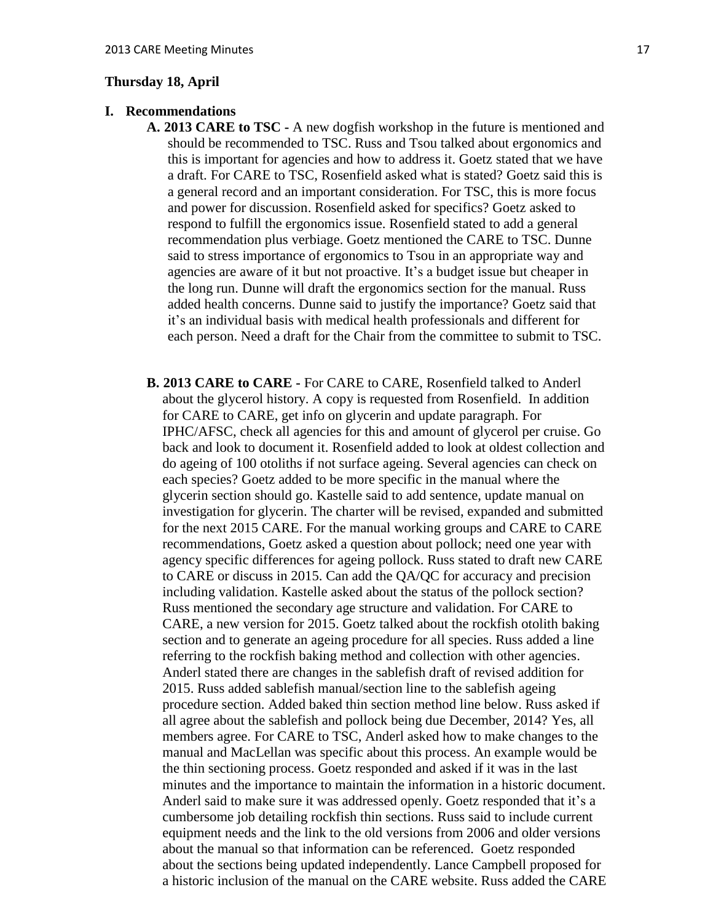#### **Thursday 18, April**

## **I. Recommendations**

- **A. 2013 CARE to TSC -** A new dogfish workshop in the future is mentioned and should be recommended to TSC. Russ and Tsou talked about ergonomics and this is important for agencies and how to address it. Goetz stated that we have a draft. For CARE to TSC, Rosenfield asked what is stated? Goetz said this is a general record and an important consideration. For TSC, this is more focus and power for discussion. Rosenfield asked for specifics? Goetz asked to respond to fulfill the ergonomics issue. Rosenfield stated to add a general recommendation plus verbiage. Goetz mentioned the CARE to TSC. Dunne said to stress importance of ergonomics to Tsou in an appropriate way and agencies are aware of it but not proactive. It's a budget issue but cheaper in the long run. Dunne will draft the ergonomics section for the manual. Russ added health concerns. Dunne said to justify the importance? Goetz said that it's an individual basis with medical health professionals and different for each person. Need a draft for the Chair from the committee to submit to TSC.
- **B. 2013 CARE to CARE -** For CARE to CARE, Rosenfield talked to Anderl about the glycerol history. A copy is requested from Rosenfield. In addition for CARE to CARE, get info on glycerin and update paragraph. For IPHC/AFSC, check all agencies for this and amount of glycerol per cruise. Go back and look to document it. Rosenfield added to look at oldest collection and do ageing of 100 otoliths if not surface ageing. Several agencies can check on each species? Goetz added to be more specific in the manual where the glycerin section should go. Kastelle said to add sentence, update manual on investigation for glycerin. The charter will be revised, expanded and submitted for the next 2015 CARE. For the manual working groups and CARE to CARE recommendations, Goetz asked a question about pollock; need one year with agency specific differences for ageing pollock. Russ stated to draft new CARE to CARE or discuss in 2015. Can add the QA/QC for accuracy and precision including validation. Kastelle asked about the status of the pollock section? Russ mentioned the secondary age structure and validation. For CARE to CARE, a new version for 2015. Goetz talked about the rockfish otolith baking section and to generate an ageing procedure for all species. Russ added a line referring to the rockfish baking method and collection with other agencies. Anderl stated there are changes in the sablefish draft of revised addition for 2015. Russ added sablefish manual/section line to the sablefish ageing procedure section. Added baked thin section method line below. Russ asked if all agree about the sablefish and pollock being due December, 2014? Yes, all members agree. For CARE to TSC, Anderl asked how to make changes to the manual and MacLellan was specific about this process. An example would be the thin sectioning process. Goetz responded and asked if it was in the last minutes and the importance to maintain the information in a historic document. Anderl said to make sure it was addressed openly. Goetz responded that it's a cumbersome job detailing rockfish thin sections. Russ said to include current equipment needs and the link to the old versions from 2006 and older versions about the manual so that information can be referenced. Goetz responded about the sections being updated independently. Lance Campbell proposed for a historic inclusion of the manual on the CARE website. Russ added the CARE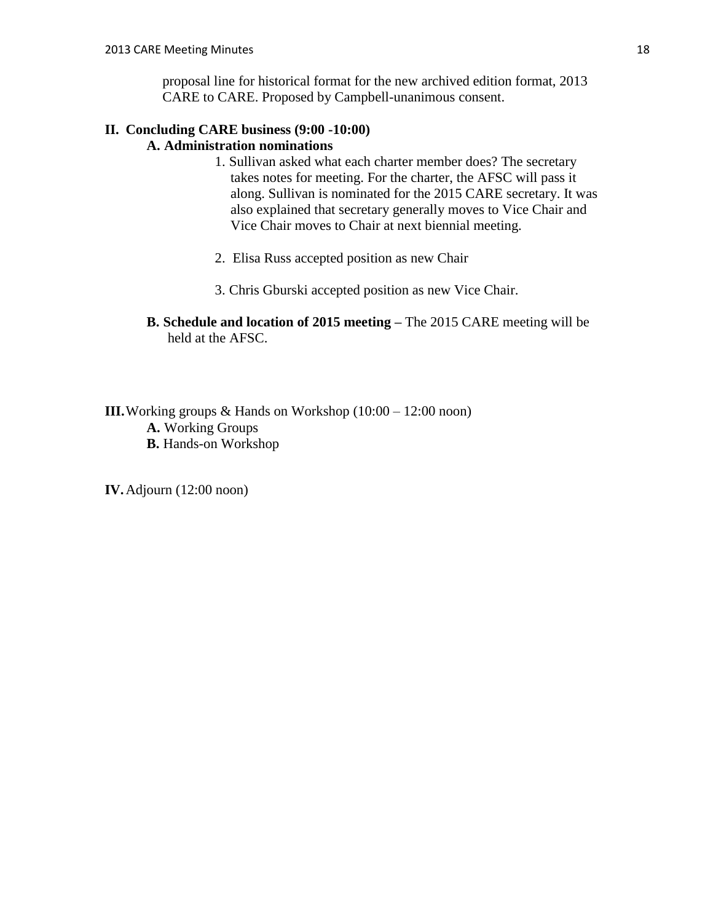proposal line for historical format for the new archived edition format, 2013 CARE to CARE. Proposed by Campbell-unanimous consent.

## **II. Concluding CARE business (9:00 -10:00) A. Administration nominations**

- 1. Sullivan asked what each charter member does? The secretary takes notes for meeting. For the charter, the AFSC will pass it along. Sullivan is nominated for the 2015 CARE secretary. It was also explained that secretary generally moves to Vice Chair and Vice Chair moves to Chair at next biennial meeting.
- 2. Elisa Russ accepted position as new Chair
- 3. Chris Gburski accepted position as new Vice Chair.
- **B. Schedule and location of 2015 meeting –** The 2015 CARE meeting will be held at the AFSC.

**III.** Working groups & Hands on Workshop (10:00 – 12:00 noon)

- **A.** Working Groups
- **B.** Hands-on Workshop

**IV.**Adjourn (12:00 noon)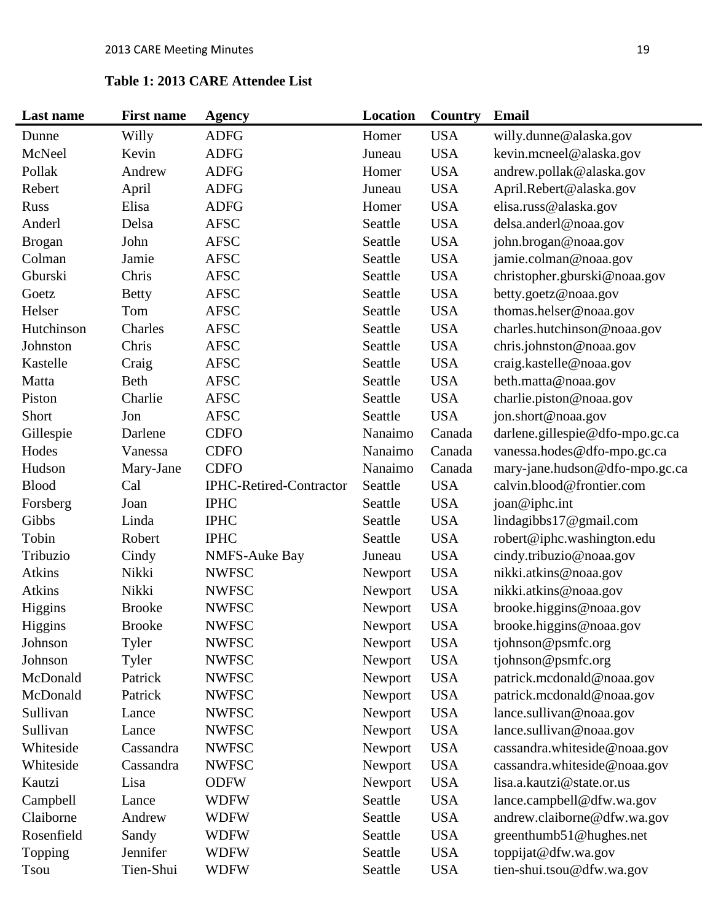## **Table 1: 2013 CARE Attendee List**

| Last name     | <b>First name</b> | <b>Agency</b>                  | Location | Country    | <b>Email</b>                    |
|---------------|-------------------|--------------------------------|----------|------------|---------------------------------|
| Dunne         | Willy             | <b>ADFG</b>                    | Homer    | <b>USA</b> | willy.dunne@alaska.gov          |
| McNeel        | Kevin             | <b>ADFG</b>                    | Juneau   | <b>USA</b> | kevin.mcneel@alaska.gov         |
| Pollak        | Andrew            | <b>ADFG</b>                    | Homer    | <b>USA</b> | andrew.pollak@alaska.gov        |
| Rebert        | April             | <b>ADFG</b>                    | Juneau   | <b>USA</b> | April.Rebert@alaska.gov         |
| <b>Russ</b>   | Elisa             | <b>ADFG</b>                    | Homer    | <b>USA</b> | elisa.russ@alaska.gov           |
| Anderl        | Delsa             | <b>AFSC</b>                    | Seattle  | <b>USA</b> | delsa.anderl@noaa.gov           |
| <b>Brogan</b> | John              | <b>AFSC</b>                    | Seattle  | <b>USA</b> | john.brogan@noaa.gov            |
| Colman        | Jamie             | <b>AFSC</b>                    | Seattle  | <b>USA</b> | jamie.colman@noaa.gov           |
| Gburski       | Chris             | <b>AFSC</b>                    | Seattle  | <b>USA</b> | christopher.gburski@noaa.gov    |
| Goetz         | <b>Betty</b>      | <b>AFSC</b>                    | Seattle  | <b>USA</b> | betty.goetz@noaa.gov            |
| Helser        | Tom               | <b>AFSC</b>                    | Seattle  | <b>USA</b> | thomas.helser@noaa.gov          |
| Hutchinson    | Charles           | <b>AFSC</b>                    | Seattle  | <b>USA</b> | charles.hutchinson@noaa.gov     |
| Johnston      | Chris             | <b>AFSC</b>                    | Seattle  | <b>USA</b> | chris.johnston@noaa.gov         |
| Kastelle      | Craig             | <b>AFSC</b>                    | Seattle  | <b>USA</b> | craig.kastelle@noaa.gov         |
| Matta         | Beth              | <b>AFSC</b>                    | Seattle  | <b>USA</b> | beth.matta@noaa.gov             |
| Piston        | Charlie           | <b>AFSC</b>                    | Seattle  | <b>USA</b> | charlie.piston@noaa.gov         |
| Short         | Jon               | <b>AFSC</b>                    | Seattle  | <b>USA</b> | jon.short@noaa.gov              |
| Gillespie     | Darlene           | <b>CDFO</b>                    | Nanaimo  | Canada     | darlene.gillespie@dfo-mpo.gc.ca |
| Hodes         | Vanessa           | <b>CDFO</b>                    | Nanaimo  | Canada     | vanessa.hodes@dfo-mpo.gc.ca     |
| Hudson        | Mary-Jane         | <b>CDFO</b>                    | Nanaimo  | Canada     | mary-jane.hudson@dfo-mpo.gc.ca  |
| <b>Blood</b>  | Cal               | <b>IPHC-Retired-Contractor</b> | Seattle  | <b>USA</b> | calvin.blood@frontier.com       |
| Forsberg      | Joan              | <b>IPHC</b>                    | Seattle  | <b>USA</b> | joan@iphc.int                   |
| Gibbs         | Linda             | <b>IPHC</b>                    | Seattle  | <b>USA</b> | lindagibbs17@gmail.com          |
| Tobin         | Robert            | <b>IPHC</b>                    | Seattle  | <b>USA</b> | robert@iphc.washington.edu      |
| Tribuzio      | Cindy             | <b>NMFS-Auke Bay</b>           | Juneau   | <b>USA</b> | cindy.tribuzio@noaa.gov         |
| <b>Atkins</b> | Nikki             | <b>NWFSC</b>                   | Newport  | <b>USA</b> | nikki.atkins@noaa.gov           |
| <b>Atkins</b> | Nikki             | <b>NWFSC</b>                   | Newport  | <b>USA</b> | nikki.atkins@noaa.gov           |
| Higgins       | <b>Brooke</b>     | <b>NWFSC</b>                   | Newport  | <b>USA</b> | brooke.higgins@noaa.gov         |
| Higgins       | <b>Brooke</b>     | <b>NWFSC</b>                   | Newport  | <b>USA</b> | brooke.higgins@noaa.gov         |
| Johnson       | Tyler             | <b>NWFSC</b>                   | Newport  | <b>USA</b> | tjohnson@psmfc.org              |
| Johnson       | Tyler             | <b>NWFSC</b>                   | Newport  | <b>USA</b> | tjohnson@psmfc.org              |
| McDonald      | Patrick           | <b>NWFSC</b>                   | Newport  | <b>USA</b> | patrick.mcdonald@noaa.gov       |
| McDonald      | Patrick           | <b>NWFSC</b>                   | Newport  | <b>USA</b> | patrick.mcdonald@noaa.gov       |
| Sullivan      | Lance             | <b>NWFSC</b>                   | Newport  | <b>USA</b> | lance.sullivan@noaa.gov         |
| Sullivan      | Lance             | <b>NWFSC</b>                   | Newport  | <b>USA</b> | lance.sullivan@noaa.gov         |
| Whiteside     | Cassandra         | <b>NWFSC</b>                   | Newport  | <b>USA</b> | cassandra.whiteside@noaa.gov    |
| Whiteside     | Cassandra         | <b>NWFSC</b>                   | Newport  | <b>USA</b> | cassandra.whiteside@noaa.gov    |
| Kautzi        | Lisa              | <b>ODFW</b>                    | Newport  | <b>USA</b> | lisa.a.kautzi@state.or.us       |
| Campbell      | Lance             | <b>WDFW</b>                    | Seattle  | <b>USA</b> | lance.campbell@dfw.wa.gov       |
| Claiborne     | Andrew            | <b>WDFW</b>                    | Seattle  | <b>USA</b> | andrew.claiborne@dfw.wa.gov     |
| Rosenfield    | Sandy             | <b>WDFW</b>                    | Seattle  | <b>USA</b> | greenthumb51@hughes.net         |
| Topping       | Jennifer          | <b>WDFW</b>                    | Seattle  | <b>USA</b> | toppijat@dfw.wa.gov             |
| <b>Tsou</b>   | Tien-Shui         | <b>WDFW</b>                    | Seattle  | <b>USA</b> | tien-shui.tsou@dfw.wa.gov       |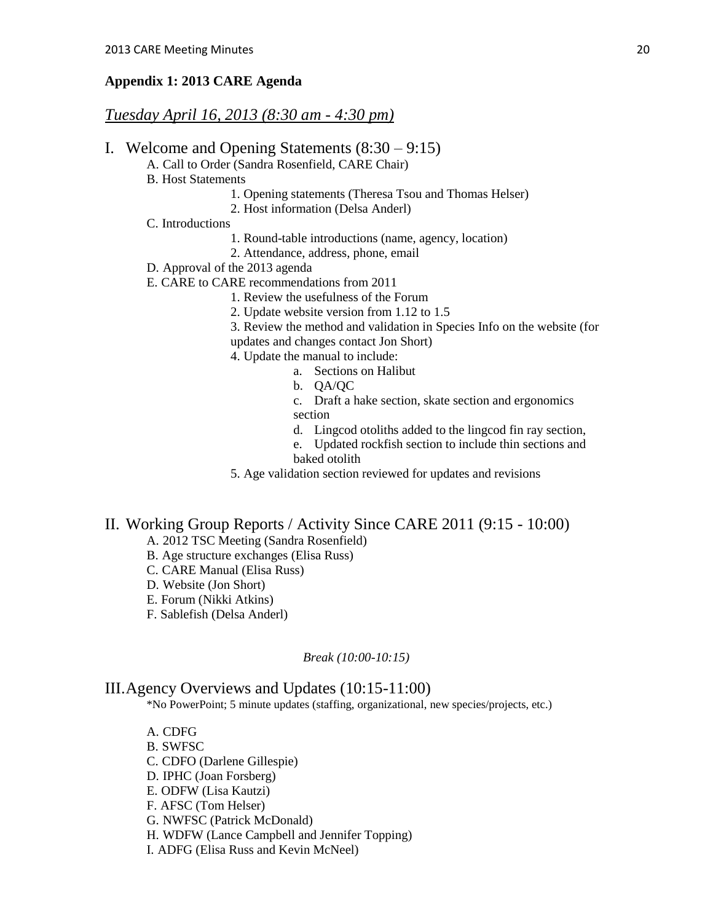#### **Appendix 1: 2013 CARE Agenda**

## *Tuesday April 16, 2013 (8:30 am - 4:30 pm)*

- I. Welcome and Opening Statements (8:30 9:15)
	- A. Call to Order (Sandra Rosenfield, CARE Chair)
	- B. Host Statements
		- 1. Opening statements (Theresa Tsou and Thomas Helser)
		- 2. Host information (Delsa Anderl)
	- C. Introductions
		- 1. Round-table introductions (name, agency, location)
		- 2. Attendance, address, phone, email
	- D. Approval of the 2013 agenda
	- E. CARE to CARE recommendations from 2011
		- 1. Review the usefulness of the Forum
		- 2. Update website version from 1.12 to 1.5
		- 3. Review the method and validation in Species Info on the website (for
		- updates and changes contact Jon Short)
		- 4. Update the manual to include:
			- a. Sections on Halibut
			- b. QA/QC
			- c. Draft a hake section, skate section and ergonomics section
			- d. Lingcod otoliths added to the lingcod fin ray section,
			- e. Updated rockfish section to include thin sections and baked otolith
		- 5. Age validation section reviewed for updates and revisions

## II. Working Group Reports / Activity Since CARE 2011 (9:15 - 10:00)

- A. 2012 TSC Meeting (Sandra Rosenfield)
- B. Age structure exchanges (Elisa Russ)
- C. CARE Manual (Elisa Russ)
- D. Website (Jon Short)
- E. Forum (Nikki Atkins)
- F. Sablefish (Delsa Anderl)

#### *Break (10:00-10:15)*

#### III.Agency Overviews and Updates (10:15-11:00)

\*No PowerPoint; 5 minute updates (staffing, organizational, new species/projects, etc.)

- A. CDFG B. SWFSC C. CDFO (Darlene Gillespie) D. IPHC (Joan Forsberg) E. ODFW (Lisa Kautzi) F. AFSC (Tom Helser) G. NWFSC (Patrick McDonald) H. WDFW (Lance Campbell and Jennifer Topping)
- I. ADFG (Elisa Russ and Kevin McNeel)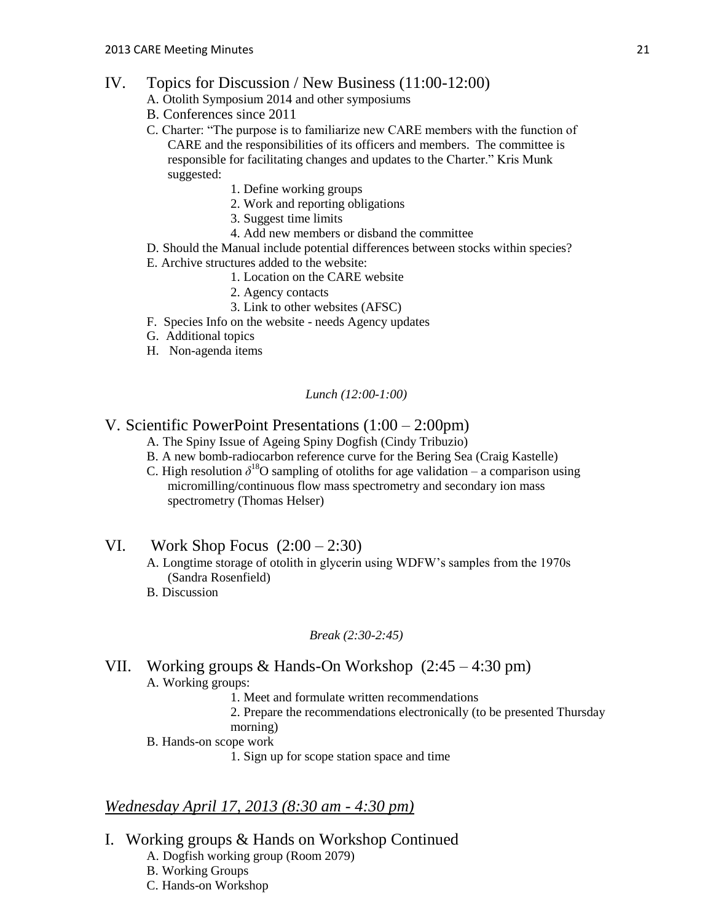- IV. Topics for Discussion / New Business (11:00-12:00)
	- A. Otolith Symposium 2014 and other symposiums
	- B. Conferences since 2011
	- C. Charter: "The purpose is to familiarize new CARE members with the function of CARE and the responsibilities of its officers and members. The committee is responsible for facilitating changes and updates to the Charter." Kris Munk suggested:
		- 1. Define working groups
		- 2. Work and reporting obligations
		- 3. Suggest time limits
		- 4. Add new members or disband the committee
	- D. Should the Manual include potential differences between stocks within species?
	- E. Archive structures added to the website:
		- 1. Location on the CARE website
		- 2. Agency contacts
		- 3. Link to other websites (AFSC)
	- F. Species Info on the website needs Agency updates
	- G. Additional topics
	- H. Non-agenda items

*Lunch (12:00-1:00)*

## V. Scientific PowerPoint Presentations (1:00 – 2:00pm)

- A. The Spiny Issue of Ageing Spiny Dogfish (Cindy Tribuzio)
- B. A new bomb-radiocarbon reference curve for the Bering Sea (Craig Kastelle)
- C. High resolution  $\delta^{18}O$  sampling of otoliths for age validation a comparison using micromilling/continuous flow mass spectrometry and secondary ion mass spectrometry (Thomas Helser)
- VI. Work Shop Focus  $(2:00 2:30)$ 
	- A. Longtime storage of otolith in glycerin using WDFW's samples from the 1970s (Sandra Rosenfield)
	- B. Discussion

#### *Break (2:30-2:45)*

## VII. Working groups & Hands-On Workshop (2:45 – 4:30 pm) A. Working groups:

- 1. Meet and formulate written recommendations
- 2. Prepare the recommendations electronically (to be presented Thursday morning)
- B. Hands-on scope work
	- 1. Sign up for scope station space and time

## *Wednesday April 17, 2013 (8:30 am - 4:30 pm)*

- I. Working groups & Hands on Workshop Continued
	- A. Dogfish working group (Room 2079)
	- B. Working Groups
	- C. Hands-on Workshop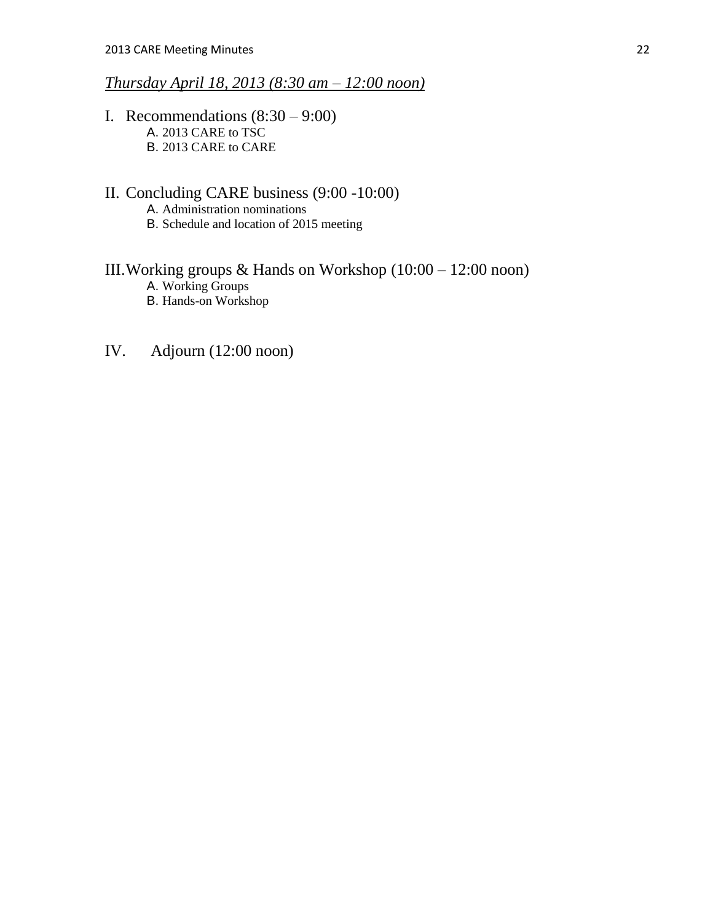## *Thursday April 18, 2013 (8:30 am – 12:00 noon)*

- I. Recommendations  $(8:30 9:00)$ A. 2013 CARE to TSC B. 2013 CARE to CARE
- II. Concluding CARE business (9:00 -10:00) A. Administration nominations B. Schedule and location of 2015 meeting

# III.Working groups & Hands on Workshop (10:00 – 12:00 noon)

- A. Working Groups
- B. Hands-on Workshop
- IV. Adjourn (12:00 noon)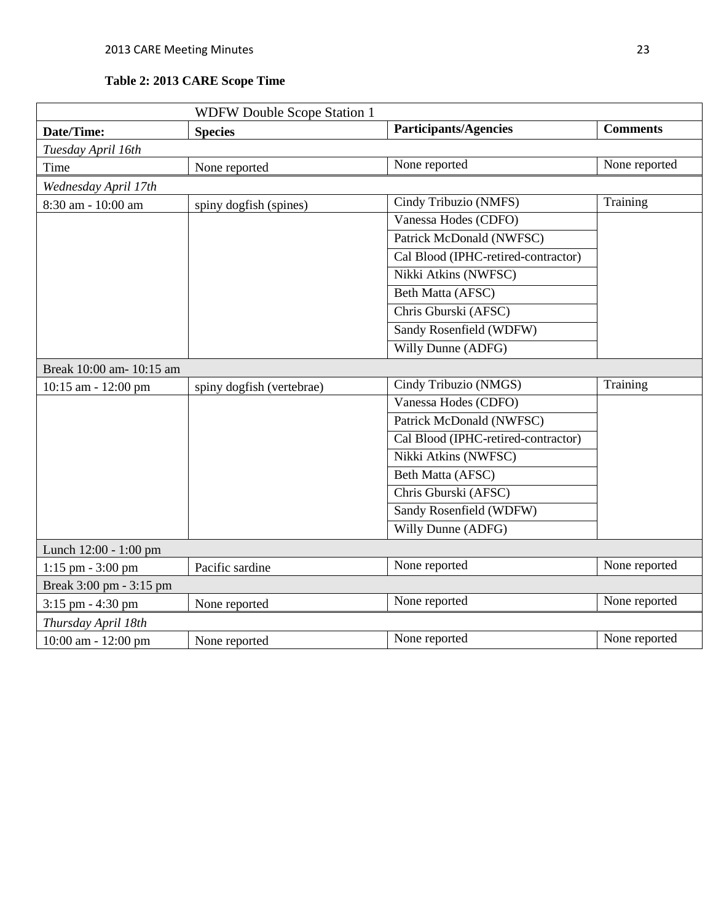## **Table 2: 2013 CARE Scope Time**

| <b>WDFW Double Scope Station 1</b> |                           |                                     |                 |  |
|------------------------------------|---------------------------|-------------------------------------|-----------------|--|
| Date/Time:                         | <b>Species</b>            | <b>Participants/Agencies</b>        | <b>Comments</b> |  |
| Tuesday April 16th                 |                           |                                     |                 |  |
| Time                               | None reported             | None reported                       | None reported   |  |
| Wednesday April 17th               |                           |                                     |                 |  |
| 8:30 am - 10:00 am                 | spiny dogfish (spines)    | Cindy Tribuzio (NMFS)               | Training        |  |
|                                    |                           | Vanessa Hodes (CDFO)                |                 |  |
|                                    |                           | Patrick McDonald (NWFSC)            |                 |  |
|                                    |                           | Cal Blood (IPHC-retired-contractor) |                 |  |
|                                    |                           | Nikki Atkins (NWFSC)                |                 |  |
|                                    |                           | Beth Matta (AFSC)                   |                 |  |
|                                    |                           | Chris Gburski (AFSC)                |                 |  |
|                                    |                           | Sandy Rosenfield (WDFW)             |                 |  |
|                                    |                           | Willy Dunne (ADFG)                  |                 |  |
| Break 10:00 am- 10:15 am           |                           |                                     |                 |  |
| $10:15$ am - $12:00$ pm            | spiny dogfish (vertebrae) | Cindy Tribuzio (NMGS)               | Training        |  |
|                                    |                           | Vanessa Hodes (CDFO)                |                 |  |
|                                    |                           | Patrick McDonald (NWFSC)            |                 |  |
|                                    |                           | Cal Blood (IPHC-retired-contractor) |                 |  |
|                                    |                           | Nikki Atkins (NWFSC)                |                 |  |
|                                    |                           | Beth Matta (AFSC)                   |                 |  |
|                                    |                           | Chris Gburski (AFSC)                |                 |  |
|                                    |                           | Sandy Rosenfield (WDFW)             |                 |  |
|                                    |                           | Willy Dunne (ADFG)                  |                 |  |
| Lunch 12:00 - 1:00 pm              |                           |                                     |                 |  |
| $1:15$ pm - $3:00$ pm              | Pacific sardine           | None reported                       | None reported   |  |
| Break 3:00 pm - 3:15 pm            |                           |                                     |                 |  |
| 3:15 pm - 4:30 pm                  | None reported             | None reported                       | None reported   |  |
| Thursday April 18th                |                           |                                     |                 |  |
| 10:00 am - 12:00 pm                | None reported             | None reported                       | None reported   |  |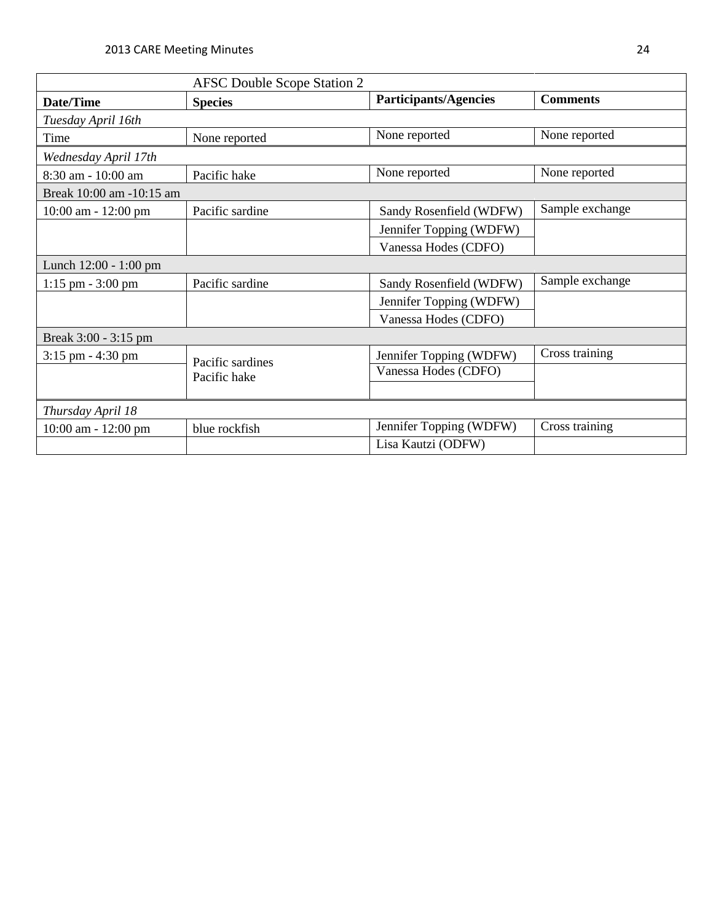|                          | <b>AFSC Double Scope Station 2</b> |                              |                 |  |  |
|--------------------------|------------------------------------|------------------------------|-----------------|--|--|
| Date/Time                | <b>Species</b>                     | <b>Participants/Agencies</b> | <b>Comments</b> |  |  |
| Tuesday April 16th       |                                    |                              |                 |  |  |
| Time                     | None reported                      | None reported                | None reported   |  |  |
| Wednesday April 17th     |                                    |                              |                 |  |  |
| 8:30 am - 10:00 am       | Pacific hake                       | None reported                | None reported   |  |  |
| Break 10:00 am -10:15 am |                                    |                              |                 |  |  |
| $10:00$ am - $12:00$ pm  | Pacific sardine                    | Sandy Rosenfield (WDFW)      | Sample exchange |  |  |
|                          |                                    | Jennifer Topping (WDFW)      |                 |  |  |
|                          |                                    | Vanessa Hodes (CDFO)         |                 |  |  |
| Lunch 12:00 - 1:00 pm    |                                    |                              |                 |  |  |
| $1:15$ pm $-3:00$ pm     | Pacific sardine                    | Sandy Rosenfield (WDFW)      | Sample exchange |  |  |
|                          |                                    | Jennifer Topping (WDFW)      |                 |  |  |
|                          |                                    | Vanessa Hodes (CDFO)         |                 |  |  |
| Break 3:00 - 3:15 pm     |                                    |                              |                 |  |  |
| $3:15$ pm $-4:30$ pm     | Pacific sardines                   | Jennifer Topping (WDFW)      | Cross training  |  |  |
|                          | Pacific hake                       | Vanessa Hodes (CDFO)         |                 |  |  |
|                          |                                    |                              |                 |  |  |
| Thursday April 18        |                                    |                              |                 |  |  |
| $10:00$ am - $12:00$ pm  | blue rockfish                      | Jennifer Topping (WDFW)      | Cross training  |  |  |
|                          |                                    | Lisa Kautzi (ODFW)           |                 |  |  |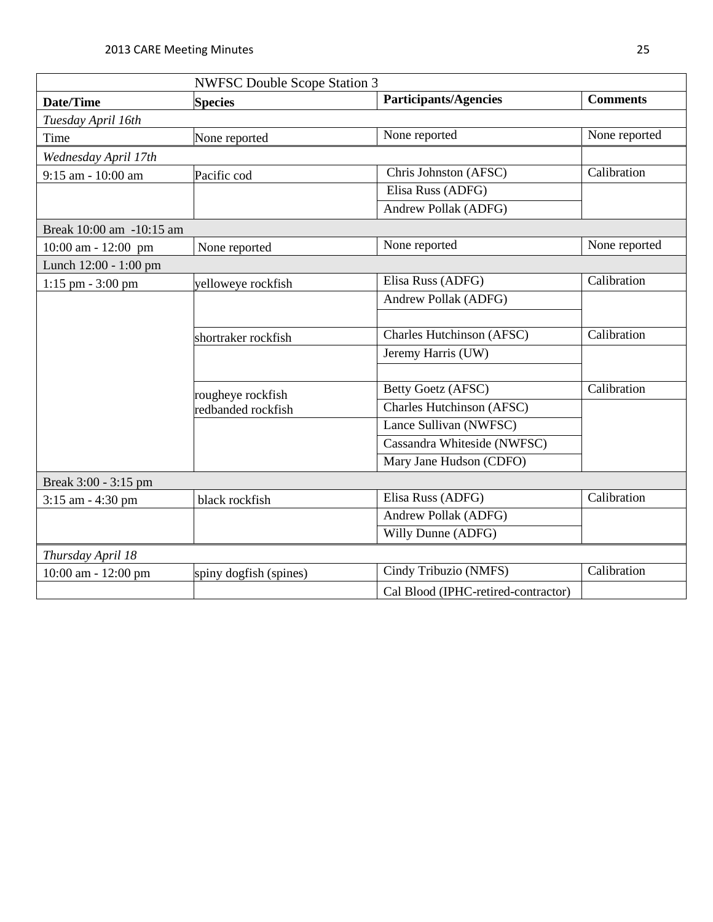| <b>NWFSC Double Scope Station 3</b> |                        |                                     |                 |  |  |
|-------------------------------------|------------------------|-------------------------------------|-----------------|--|--|
| Date/Time                           | <b>Species</b>         | <b>Participants/Agencies</b>        | <b>Comments</b> |  |  |
| Tuesday April 16th                  |                        |                                     |                 |  |  |
| Time                                | None reported          | None reported                       | None reported   |  |  |
| Wednesday April 17th                |                        |                                     |                 |  |  |
| 9:15 am - 10:00 am                  | Pacific cod            | Chris Johnston (AFSC)               | Calibration     |  |  |
|                                     |                        | Elisa Russ (ADFG)                   |                 |  |  |
|                                     |                        | Andrew Pollak (ADFG)                |                 |  |  |
| Break 10:00 am -10:15 am            |                        |                                     |                 |  |  |
| 10:00 am - 12:00 pm                 | None reported          | None reported                       | None reported   |  |  |
| Lunch 12:00 - 1:00 pm               |                        |                                     |                 |  |  |
| $1:15$ pm $-3:00$ pm                | yelloweye rockfish     | Elisa Russ (ADFG)                   | Calibration     |  |  |
|                                     |                        | Andrew Pollak (ADFG)                |                 |  |  |
|                                     |                        |                                     |                 |  |  |
|                                     | shortraker rockfish    | Charles Hutchinson (AFSC)           | Calibration     |  |  |
|                                     |                        | Jeremy Harris (UW)                  |                 |  |  |
|                                     |                        |                                     |                 |  |  |
|                                     | rougheye rockfish      | <b>Betty Goetz (AFSC)</b>           | Calibration     |  |  |
|                                     | redbanded rockfish     | Charles Hutchinson (AFSC)           |                 |  |  |
|                                     |                        | Lance Sullivan (NWFSC)              |                 |  |  |
|                                     |                        | Cassandra Whiteside (NWFSC)         |                 |  |  |
|                                     |                        | Mary Jane Hudson (CDFO)             |                 |  |  |
| Break 3:00 - 3:15 pm                |                        |                                     |                 |  |  |
| 3:15 am - 4:30 pm                   | black rockfish         | Elisa Russ (ADFG)                   | Calibration     |  |  |
|                                     |                        | Andrew Pollak (ADFG)                |                 |  |  |
|                                     |                        | Willy Dunne (ADFG)                  |                 |  |  |
| Thursday April 18                   |                        |                                     |                 |  |  |
| 10:00 am - 12:00 pm                 | spiny dogfish (spines) | Cindy Tribuzio (NMFS)               | Calibration     |  |  |
|                                     |                        | Cal Blood (IPHC-retired-contractor) |                 |  |  |